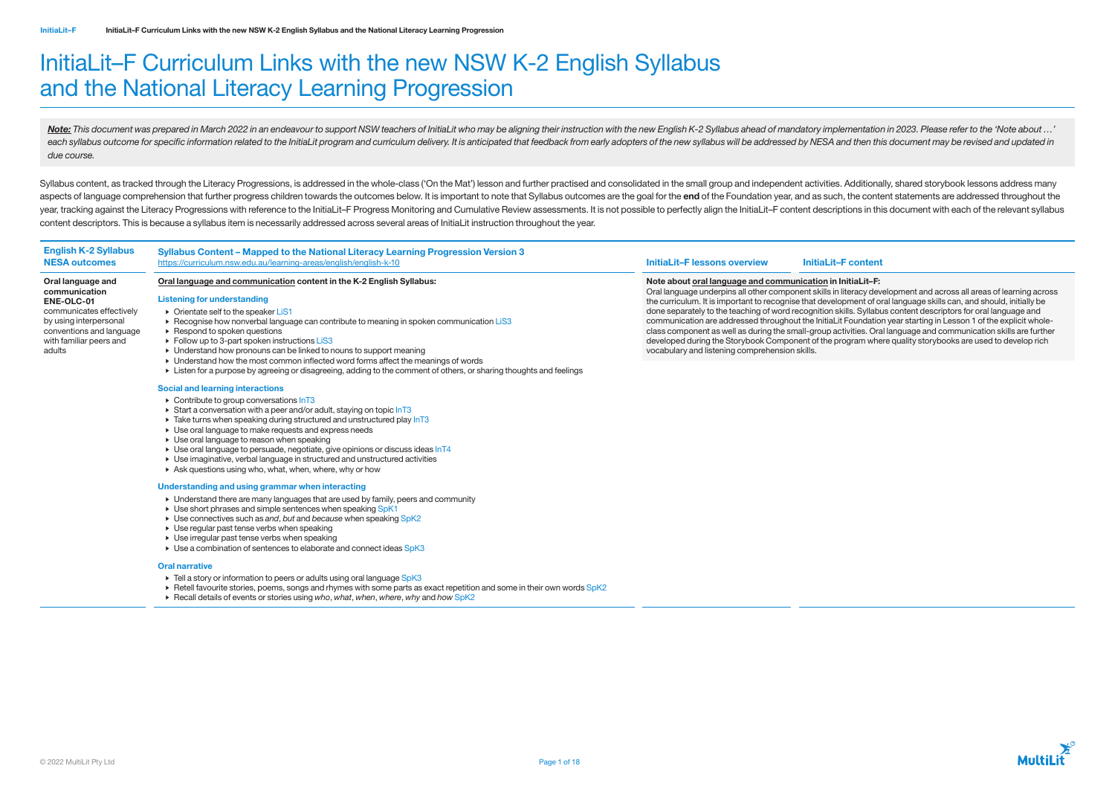# InitiaLit–F Curriculum Links with the new NSW K-2 English Syllabus and the National Literacy Learning Progression

Note: This document was prepared in March 2022 in an endeavour to support NSW teachers of InitiaLit who may be aligning their instruction with the new English K-2 Syllabus ahead of mandatory implementation in 2023. Please each syllabus outcome for specific information related to the InitiaLit program and curriculum delivery. It is anticipated that feedback from early adopters of the new syllabus will be addressed by NESA and then this docum *due course.*

Syllabus content, as tracked through the Literacy Progressions, is addressed in the whole-class ('On the Mat') lesson and further practised and consolidated in the small group and independent activities. Additionally, shar aspects of language comprehension that further progress children towards the outcomes below. It is important to note that Syllabus outcomes are the goal for the end of the Foundation year, and as such, the content statemen year, tracking against the Literacy Progressions with reference to the InitiaLit-F Progress Monitoring and Cumulative Review assessments. It is not possible to perfectly align the InitiaLit-F content descriptions in this d content descriptors. This is because a syllabus item is necessarily addressed across several areas of InitiaLit instruction throughout the year.

## Syllabus Content – Mapped to the National Literacy Learning Progression Version 3 <https://curriculum.nsw.edu.au/learning-areas/english/english-k-10> **Initialite and the content initial initial initial initial initial initial initial initial initial initial initial initial initial initial initial initial**

- Orientate self to the speaker LiS1
- Recognise how nonverbal language can contribute to meaning in spoken communication LiS3
- ▶ Respond to spoken questions
- Follow up to 3-part spoken instructions LiS3
- Understand how pronouns can be linked to nouns to support meaning
- Understand how the most common inflected word forms affect the meanings of words
- Listen for a purpose by agreeing or disagreeing, adding to the comment of others, or sharing thoughts and feelings

- Contribute to group conversations InT3
- $\triangleright$  Start a conversation with a peer and/or adult, staving on topic  $\ln$ T3
- $\triangleright$  Take turns when speaking during structured and unstructured play  $InT3$
- Use oral language to make requests and express needs
- Use oral language to reason when speaking
- $\triangleright$  Use oral language to persuade, negotiate, give opinions or discuss ideas  $\ln T4$
- Use imaginative, verbal language in structured and unstructured activities
- Ask questions using who, what, when, where, why or how

- Understand there are many languages that are used by family, peers and community
- ► Use short phrases and simple sentences when speaking SpK1
- Use connectives such as *and*, *but* and *because* when speaking SpK2
- Use regular past tense verbs when speaking
- Use irregular past tense verbs when speaking
- ► Use a combination of sentences to elaborate and connect ideas SpK3

English K-2 Syllabus NESA outcomes

- Tell a story or information to peers or adults using oral language SpK3
- Retell favourite stories, poems, songs and rhymes with some parts as exact repetition and some in their own words SpK2
- Recall details of events or stories using *who*, *what*, *when*, *where*, *why* and *how* SpK2

Oral language and communication ENE-OLC-01

communicates effectively by using interpersonal conventions and language with familiar peers and

adults

## Oral language and communication content in the K-2 English Syllabus:

## Listening for understanding

## Social and learning interactions

## Understanding and using grammar when interacting

## Oral narrative

Note about oral language and communication in InitiaLit–F: Oral language underpins all other component skills in literacy development and across all areas of learning across the curriculum. It is important to recognise that development of oral language skills can, and should, initially be done separately to the teaching of word recognition skills. Syllabus content descriptors for oral language and communication are addressed throughout the InitiaLit Foundation year starting in Lesson 1 of the explicit wholeclass component as well as during the small-group activities. Oral language and communication skills are further developed during the Storybook Component of the program where quality storybooks are used to develop rich vocabulary and listening comprehension skills.

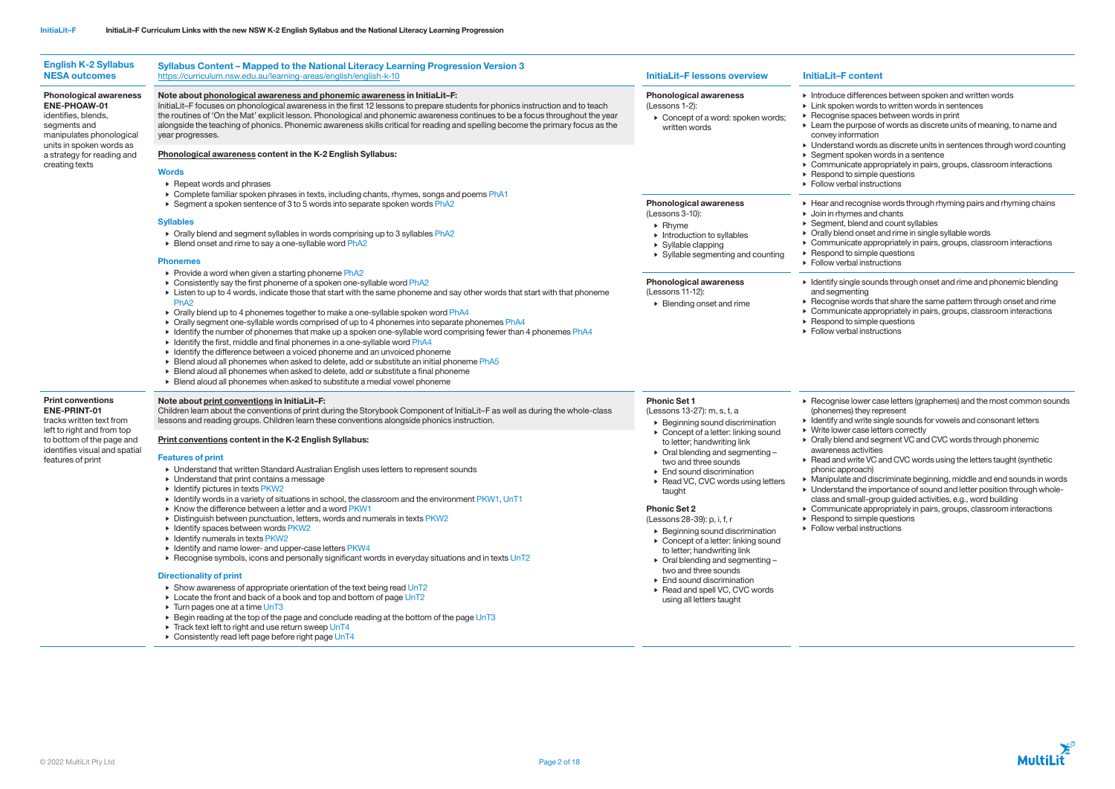| <b>English K-2 Syllabus</b><br><b>NESA outcomes</b>                                                                                                                                          | Syllabus Content - Mapped to the National Literacy Learning Progression Version 3<br>https://curriculum.nsw.edu.au/learning-areas/english/english-k-10                                                                                                                                                                                                                                                                                                                                                                                                                                                                                                                                                                                                                                                                                                                                                                                                                                                                                                                                                                                                                                                                                                                                                                                                                                                                                                                                              | <b>InitiaLit-F lessons overview</b>                                                                                                                                                                                                                                                                                                                                                                                                                                                                                                                                                                                                                                                                        | <b>InitiaLit-F content</b>                                                                                                                                                                                                                                                                                                                                                                                           |
|----------------------------------------------------------------------------------------------------------------------------------------------------------------------------------------------|-----------------------------------------------------------------------------------------------------------------------------------------------------------------------------------------------------------------------------------------------------------------------------------------------------------------------------------------------------------------------------------------------------------------------------------------------------------------------------------------------------------------------------------------------------------------------------------------------------------------------------------------------------------------------------------------------------------------------------------------------------------------------------------------------------------------------------------------------------------------------------------------------------------------------------------------------------------------------------------------------------------------------------------------------------------------------------------------------------------------------------------------------------------------------------------------------------------------------------------------------------------------------------------------------------------------------------------------------------------------------------------------------------------------------------------------------------------------------------------------------------|------------------------------------------------------------------------------------------------------------------------------------------------------------------------------------------------------------------------------------------------------------------------------------------------------------------------------------------------------------------------------------------------------------------------------------------------------------------------------------------------------------------------------------------------------------------------------------------------------------------------------------------------------------------------------------------------------------|----------------------------------------------------------------------------------------------------------------------------------------------------------------------------------------------------------------------------------------------------------------------------------------------------------------------------------------------------------------------------------------------------------------------|
| <b>Phonological awareness</b><br>ENE-PHOAW-01<br>identifies, blends,<br>segments and<br>manipulates phonological<br>units in spoken words as<br>a strategy for reading and<br>creating texts | Note about phonological awareness and phonemic awareness in InitiaLit-F:<br>InitiaLit-F focuses on phonological awareness in the first 12 lessons to prepare students for phonics instruction and to teach<br>the routines of 'On the Mat' explicit lesson. Phonological and phonemic awareness continues to be a focus throughout the year<br>alongside the teaching of phonics. Phonemic awareness skills critical for reading and spelling become the primary focus as the<br>year progresses.<br>Phonological awareness content in the K-2 English Syllabus:<br>Words<br>$\triangleright$ Repeat words and phrases                                                                                                                                                                                                                                                                                                                                                                                                                                                                                                                                                                                                                                                                                                                                                                                                                                                                              | <b>Phonological awareness</b><br>(Lessons 1-2):<br>$\triangleright$ Concept of a word: spoken words;<br>written words                                                                                                                                                                                                                                                                                                                                                                                                                                                                                                                                                                                      | $\triangleright$ Introduce difference<br>► Link spoken words t<br>$\triangleright$ Recognise spaces b<br>$\triangleright$ Learn the purpose o<br>convey information<br>• Understand words a<br>▶ Segment spoken wo<br>$\triangleright$ Communicate appro<br>$\triangleright$ Respond to simple of<br>Follow verbal instruct                                                                                          |
|                                                                                                                                                                                              | ► Complete familiar spoken phrases in texts, including chants, rhymes, songs and poems PhA1<br>▶ Segment a spoken sentence of 3 to 5 words into separate spoken words PhA2<br><b>Syllables</b><br>> Orally blend and segment syllables in words comprising up to 3 syllables PhA2<br>▶ Blend onset and rime to say a one-syllable word PhA2<br><b>Phonemes</b>                                                                                                                                                                                                                                                                                                                                                                                                                                                                                                                                                                                                                                                                                                                                                                                                                                                                                                                                                                                                                                                                                                                                      | <b>Phonological awareness</b><br>(Lessons 3-10):<br>$\triangleright$ Rhyme<br>$\triangleright$ Introduction to syllables<br>$\triangleright$ Syllable clapping<br>▶ Syllable segmenting and counting<br><b>Phonological awareness</b><br>(Lessons 11-12):<br>▶ Blending onset and rime                                                                                                                                                                                                                                                                                                                                                                                                                     | ▶ Hear and recognise<br>$\triangleright$ Join in rhymes and o<br>$\triangleright$ Segment, blend and<br>• Orally blend onset a<br>$\triangleright$ Communicate appro<br>Respond to simple of<br>Follow verbal instruct                                                                                                                                                                                               |
|                                                                                                                                                                                              | ▶ Provide a word when given a starting phoneme PhA2<br>► Consistently say the first phoneme of a spoken one-syllable word PhA2<br>Listen to up to 4 words, indicate those that start with the same phoneme and say other words that start with that phoneme<br>Ph <sub>A2</sub><br>> Orally blend up to 4 phonemes together to make a one-syllable spoken word PhA4<br>> Orally segment one-syllable words comprised of up to 4 phonemes into separate phonemes PhA4<br>I dentify the number of phonemes that make up a spoken one-syllable word comprising fewer than 4 phonemes PhA4<br>• Identify the first, middle and final phonemes in a one-syllable word PhA4<br>• Identify the difference between a voiced phoneme and an unvoiced phoneme<br>► Blend aloud all phonemes when asked to delete, add or substitute an initial phoneme PhA5<br>• Blend aloud all phonemes when asked to delete, add or substitute a final phoneme<br>Elend aloud all phonemes when asked to substitute a medial vowel phoneme                                                                                                                                                                                                                                                                                                                                                                                                                                                                                 |                                                                                                                                                                                                                                                                                                                                                                                                                                                                                                                                                                                                                                                                                                            | $\triangleright$ Identify single sound<br>and segmenting<br>$\triangleright$ Recognise words th<br>$\triangleright$ Communicate appro<br>$\triangleright$ Respond to simple of<br>Follow verbal instruct                                                                                                                                                                                                             |
| <b>Print conventions</b><br>ENE-PRINT-01<br>tracks written text from<br>left to right and from top<br>to bottom of the page and<br>identifies visual and spatial<br>features of print        | Note about print conventions in InitiaLit-F:<br>Children learn about the conventions of print during the Storybook Component of InitiaLit-F as well as during the whole-class<br>lessons and reading groups. Children learn these conventions alongside phonics instruction.<br>Print conventions content in the K-2 English Syllabus:<br><b>Features of print</b><br>▶ Understand that written Standard Australian English uses letters to represent sounds<br>$\triangleright$ Understand that print contains a message<br>$\triangleright$ Identify pictures in texts PKW2<br>Identify words in a variety of situations in school, the classroom and the environment PKW1, UnT1<br>▶ Know the difference between a letter and a word PKW1<br>> Distinguish between punctuation, letters, words and numerals in texts PKW2<br>$\triangleright$ Identify spaces between words PKW2<br>$\triangleright$ Identify numerals in texts PKW2<br>• Identify and name lower- and upper-case letters PKW4<br>▶ Recognise symbols, icons and personally significant words in everyday situations and in texts UnT2<br><b>Directionality of print</b><br>Show awareness of appropriate orientation of the text being read UnT2<br>► Locate the front and back of a book and top and bottom of page UnT2<br>$\triangleright$ Turn pages one at a time UnT3<br>► Begin reading at the top of the page and conclude reading at the bottom of the page UnT3<br>Track text left to right and use return sweep UnT4 | <b>Phonic Set 1</b><br>(Lessons 13-27): m, s, t, a<br>▶ Beginning sound discrimination<br>▶ Concept of a letter: linking sound<br>to letter; handwriting link<br>▶ Oral blending and segmenting-<br>two and three sounds<br>$\triangleright$ End sound discrimination<br>▶ Read VC, CVC words using letters<br>taught<br><b>Phonic Set 2</b><br>(Lessons 28-39): p, i, f, r<br>$\triangleright$ Beginning sound discrimination<br>$\triangleright$ Concept of a letter: linking sound<br>to letter; handwriting link<br>$\triangleright$ Oral blending and segmenting -<br>two and three sounds<br>$\triangleright$ End sound discrimination<br>▶ Read and spell VC, CVC words<br>using all letters taught | Recognise lower case<br>(phonemes) they rep<br>$\triangleright$ Identify and write sin<br>▶ Write lower case lett<br>• Orally blend and seg<br>awareness activities<br>▶ Read and write VC a<br>phonic approach)<br>• Manipulate and disc<br>$\triangleright$ Understand the imp<br>class and small-grot<br>$\triangleright$ Communicate appro<br>$\triangleright$ Respond to simple o<br>▶ Follow verbal instrudent |

- differences between spoken and written words
- en words to written words in sentences
- spaces between words in print
- burpose of words as discrete units of meaning, to name and ormation
- d words as discrete units in sentences through word counting poken words in a sentence
- cate appropriately in pairs, groups, classroom interactions
- o simple questions
- bal instructions
- ecognise words through rhyming pairs and rhyming chains nes and chants
- blend and count syllables
- id onset and rime in single syllable words
- cate appropriately in pairs, groups, classroom interactions
- o simple questions
- bal instructions
- gle sounds through onset and rime and phonemic blending anting
- words that share the same pattern through onset and rime cate appropriately in pairs, groups, classroom interactions
- o simple questions
- bal instructions
- lower case letters (graphemes) and the most common sounds s) they represent
- d write single sounds for vowels and consonant letters r case letters correctly
- id and segment VC and CVC words through phonemic activities
- write VC and CVC words using the letters taught (synthetic proach)
- e and discriminate beginning, middle and end sounds in words d the importance of sound and letter position through whole-
- small-group guided activities, e.g., word building
- cate appropriately in pairs, groups, classroom interactions o simple questions
- <sub>b</sub> al instructions

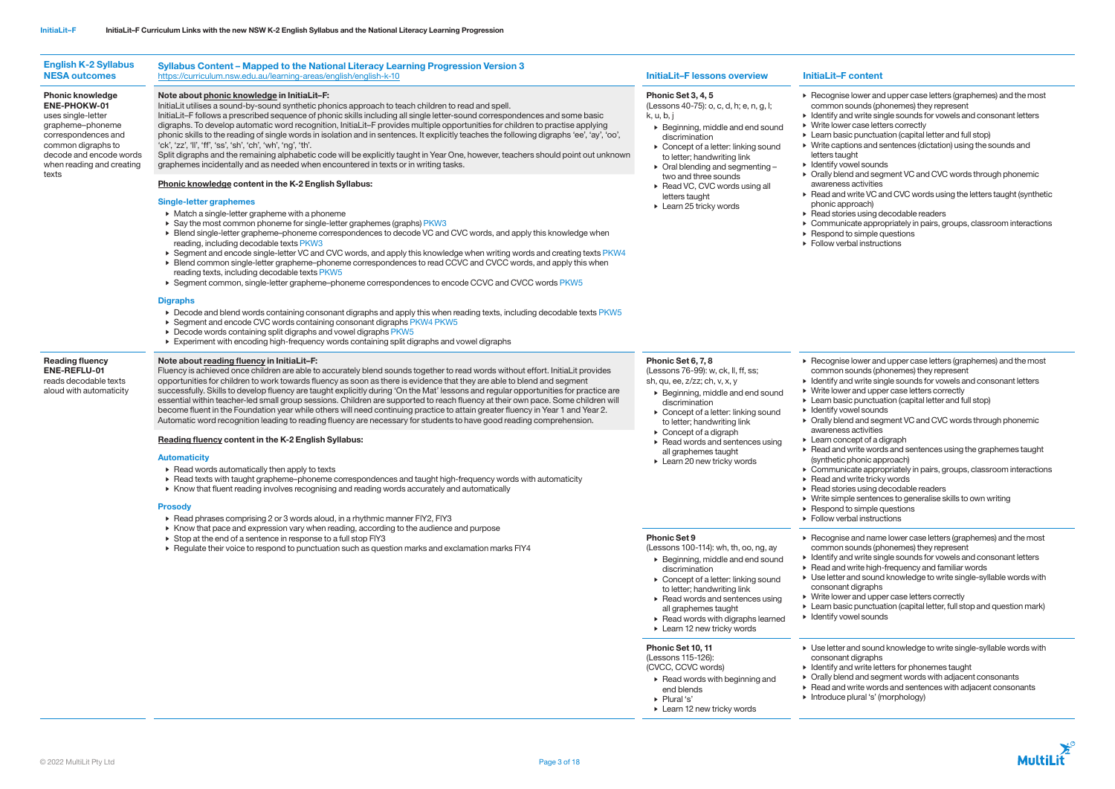© 2022 MultiLit Pty Ltd Page 3 of 18

- wer and upper case letters (graphemes) and the most inds (phonemes) they represent
- vrite single sounds for vowels and consonant letters ase letters correctly
- bunctuation (capital letter and full stop)
- is and sentences (dictation) using the sounds and
- I sounds
- and segment VC and CVC words through phonemic ctivities
- te VC and CVC words using the letters taught (synthetic pach)
- using decodable readers
- te appropriately in pairs, groups, classroom interactions
- imple questions instructions

| <b>English K-2 Syllabus</b><br><b>NESA outcomes</b>                                                                                                                                                    | Syllabus Content - Mapped to the National Literacy Learning Progression Version 3<br>https://curriculum.nsw.edu.au/learning-areas/english/english-k-10                                                                                                                                                                                                                                                                                                                                                                                                                                                                                                                                                                                                                                                                                                                                                                                                                                                                                                                                                                                                                                                                                                                                                                                                                                           | <b>InitiaLit-F lessons overview</b>                                                                                                                                                                                                                                                                                                                                                                       | <b>InitiaLit-F content</b>                                                                                                                                                                                                                                                                                                                                                                                                                                                                                                                     |
|--------------------------------------------------------------------------------------------------------------------------------------------------------------------------------------------------------|--------------------------------------------------------------------------------------------------------------------------------------------------------------------------------------------------------------------------------------------------------------------------------------------------------------------------------------------------------------------------------------------------------------------------------------------------------------------------------------------------------------------------------------------------------------------------------------------------------------------------------------------------------------------------------------------------------------------------------------------------------------------------------------------------------------------------------------------------------------------------------------------------------------------------------------------------------------------------------------------------------------------------------------------------------------------------------------------------------------------------------------------------------------------------------------------------------------------------------------------------------------------------------------------------------------------------------------------------------------------------------------------------|-----------------------------------------------------------------------------------------------------------------------------------------------------------------------------------------------------------------------------------------------------------------------------------------------------------------------------------------------------------------------------------------------------------|------------------------------------------------------------------------------------------------------------------------------------------------------------------------------------------------------------------------------------------------------------------------------------------------------------------------------------------------------------------------------------------------------------------------------------------------------------------------------------------------------------------------------------------------|
| <b>Phonic knowledge</b><br><b>ENE-PHOKW-01</b><br>uses single-letter<br>grapheme-phoneme<br>correspondences and<br>common digraphs to<br>decode and encode words<br>when reading and creating<br>texts | Note about phonic knowledge in InitiaLit-F:<br>InitiaLit utilises a sound-by-sound synthetic phonics approach to teach children to read and spell.<br>InitiaLit-F follows a prescribed sequence of phonic skills including all single letter-sound correspondences and some basic<br>digraphs. To develop automatic word recognition, InitiaLit-F provides multiple opportunities for children to practise applying<br>phonic skills to the reading of single words in isolation and in sentences. It explicitly teaches the following digraphs 'ee', 'ay', 'oo',<br>'ck', 'zz', 'll', 'ff', 'ss', 'sh', 'ch', 'wh', 'ng', 'th'.<br>Split digraphs and the remaining alphabetic code will be explicitly taught in Year One, however, teachers should point out unknown<br>graphemes incidentally and as needed when encountered in texts or in writing tasks.                                                                                                                                                                                                                                                                                                                                                                                                                                                                                                                                    | Phonic Set 3, 4, 5<br>(Lessons 40-75): o, c, d, h; e, n, g, l;<br>k, u, b, j<br>$\triangleright$ Beginning, middle and end sound<br>discrimination<br>$\triangleright$ Concept of a letter: linking sound<br>to letter; handwriting link<br>$\triangleright$ Oral blending and segmenting -                                                                                                               | $\triangleright$ Recognise lower and<br>common sounds (pl<br>$\triangleright$ Identify and write sir<br>▶ Write lower case lett<br>• Learn basic punctua<br>$\triangleright$ Write captions and s<br>letters taught<br>• Identify vowel sound<br>• Orally blend and seg<br>awareness activities<br>▶ Read and write VC a<br>phonic approach)<br>$\triangleright$ Read stories using c<br>$\triangleright$ Communicate appro<br>$\triangleright$ Respond to simple of<br>Follow verbal instrud                                                  |
|                                                                                                                                                                                                        | <b>Phonic knowledge content in the K-2 English Syllabus:</b><br><b>Single-letter graphemes</b><br>$\triangleright$ Match a single-letter grapheme with a phoneme<br>▶ Say the most common phoneme for single-letter graphemes (graphs) PKW3<br>► Blend single-letter grapheme-phoneme correspondences to decode VC and CVC words, and apply this knowledge when<br>reading, including decodable texts PKW3<br>▶ Segment and encode single-letter VC and CVC words, and apply this knowledge when writing words and creating texts PKW4<br>▶ Blend common single-letter grapheme-phoneme correspondences to read CCVC and CVCC words, and apply this when<br>reading texts, including decodable texts PKW5<br>▶ Segment common, single-letter grapheme-phoneme correspondences to encode CCVC and CVCC words PKW5<br><b>Digraphs</b><br>> Decode and blend words containing consonant digraphs and apply this when reading texts, including decodable texts PKW5<br>▶ Segment and encode CVC words containing consonant digraphs PKW4 PKW5<br>▶ Decode words containing split digraphs and vowel digraphs PKW5<br>Experiment with encoding high-frequency words containing split digraphs and vowel digraphs                                                                                                                                                                                      | two and three sounds<br>Read VC, CVC words using all<br>letters taught<br>$\triangleright$ Learn 25 tricky words                                                                                                                                                                                                                                                                                          |                                                                                                                                                                                                                                                                                                                                                                                                                                                                                                                                                |
| <b>Reading fluency</b><br>ENE-REFLU-01<br>reads decodable texts<br>aloud with automaticity                                                                                                             | Note about reading fluency in InitiaLit-F:<br>Fluency is achieved once children are able to accurately blend sounds together to read words without effort. InitiaLit provides<br>opportunities for children to work towards fluency as soon as there is evidence that they are able to blend and segment<br>successfully. Skills to develop fluency are taught explicitly during 'On the Mat' lessons and regular opportunities for practice are<br>essential within teacher-led small group sessions. Children are supported to reach fluency at their own pace. Some children will<br>become fluent in the Foundation year while others will need continuing practice to attain greater fluency in Year 1 and Year 2.<br>Automatic word recognition leading to reading fluency are necessary for students to have good reading comprehension.<br>Reading fluency content in the K-2 English Syllabus:<br><b>Automaticity</b><br>▶ Read words automatically then apply to texts<br>▶ Read texts with taught grapheme-phoneme correspondences and taught high-frequency words with automaticity<br>► Know that fluent reading involves recognising and reading words accurately and automatically<br><b>Prosody</b><br>▶ Read phrases comprising 2 or 3 words aloud, in a rhythmic manner FIY2, FIY3<br>► Know that pace and expression vary when reading, according to the audience and purpose | Phonic Set 6, 7, 8<br>(Lessons 76-99): w, ck, ll, ff, ss;<br>sh, qu, ee, z/zz; ch, v, x, y<br>▶ Beginning, middle and end sound<br>discrimination<br>$\triangleright$ Concept of a letter: linking sound<br>to letter; handwriting link<br>$\triangleright$ Concept of a digraph<br>$\triangleright$ Read words and sentences using<br>all graphemes taught<br>$\triangleright$ Learn 20 new tricky words | Recognise lower and<br>common sounds (pl<br>$\triangleright$ Identify and write sir<br>▶ Write lower and upp<br>• Learn basic punctua<br>• Identify vowel sound<br>• Orally blend and seg<br>awareness activities<br>$\triangleright$ Learn concept of a c<br>▶ Read and write word<br>(synthetic phonic ap<br>$\triangleright$ Communicate appro<br>$\triangleright$ Read and write trick<br>$\triangleright$ Read stories using c<br>$\triangleright$ Write simple sentene<br>$\triangleright$ Respond to simple of<br>Follow verbal instruc |

- wer and upper case letters (graphemes) and the most inds (phonemes) they represent
- vrite single sounds for vowels and consonant letters nd upper case letters correctly
- vunctuation (capital letter and full stop)
- l sounds
- and segment VC and CVC words through phonemic ctivities
- pt of a digraph
- ite words and sentences using the graphemes taught
- onic approach)
- te appropriately in pairs, groups, classroom interactions
- ite tricky words using decodable readers
- sentences to generalise skills to own writing
- imple questions
- I instructions
- 
- Recognise and name lower case letters (graphemes) and the most common sounds (phonemes) they represent
- Identify and write single sounds for vowels and consonant letters • Read and write high-frequency and familiar words
- Use letter and sound knowledge to write single-syllable words with consonant digraphs
- Write lower and upper case letters correctly
- Learn basic punctuation (capital letter, full stop and question mark) • Identify vowel sounds
- Use letter and sound knowledge to write single-syllable words with consonant digraphs
- Identify and write letters for phonemes taught
- Orally blend and segment words with adjacent consonants
- Read and write words and sentences with adjacent consonants
- Introduce plural 's' (morphology)



• Stop at the end of a sentence in response to a full stop FlY3

• Regulate their voice to respond to punctuation such as question marks and exclamation marks FlY4

# Phonic Set 9

# (Lessons 100-114): wh, th, oo, ng, ay

- Beginning, middle and end sound discrimination
- Concept of a letter: linking sound to letter; handwriting link
- Read words and sentences using all graphemes taught
- Read words with digraphs learned
- Learn 12 new tricky words

# Phonic Set 10, 11

- (Lessons 115-126): (CVCC, CCVC words) • Read words with beginning and
	- -
		-

end blends • Plural 's'

• Learn 12 new tricky words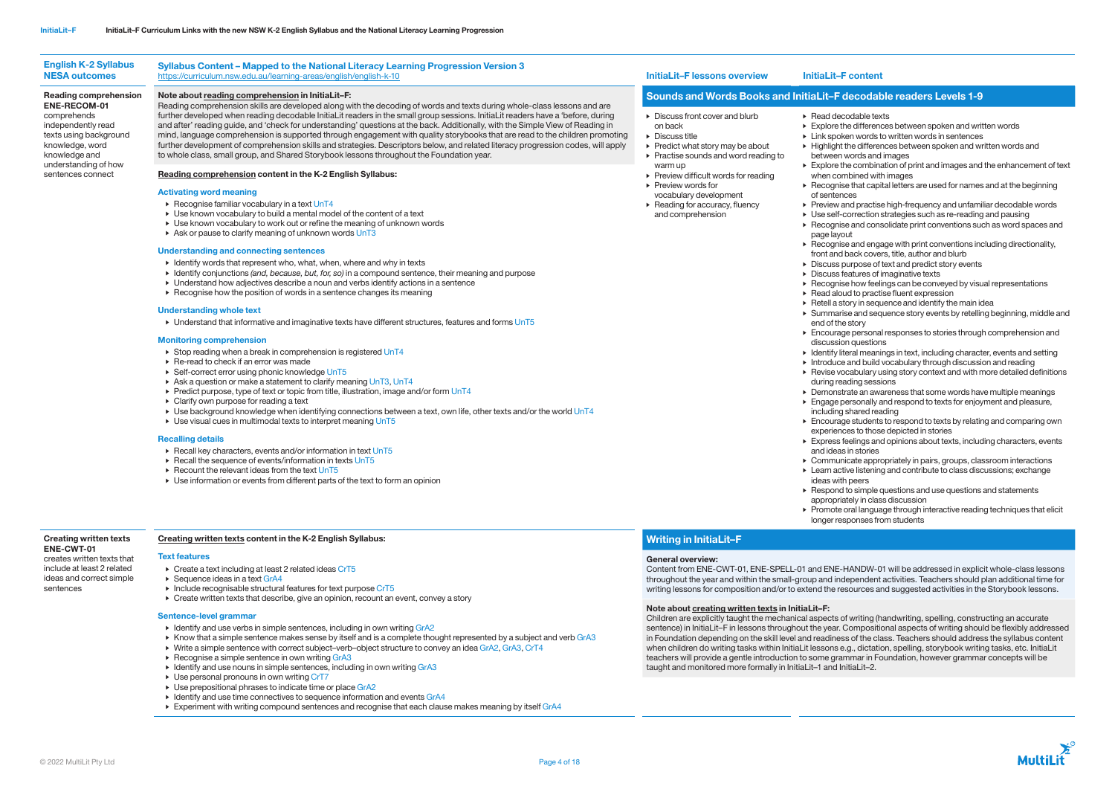- ecodable texts
- the differences between spoken and written words
- oken words to written words in sentences
- ht the differences between spoken and written words and between words and images
- the combination of print and images and the enhancement of text ombined with images
- hise that capital letters are used for names and at the beginning nces
- and practise high-frequency and unfamiliar decodable words
- f-correction strategies such as re-reading and pausing
- ise and consolidate print conventions such as word spaces and hov
- story in sequence and identify the main idea
- Encourage personal responses to stories through comprehension and discussion questions
- Identify literal meanings in text, including character, events and setting • Introduce and build vocabulary through discussion and reading
- Encourage students to respond to texts by relating and comparing own experiences to those depicted in stories
- Express feelings and opinions about texts, including characters, events and ideas in stories
- Respond to simple questions and use questions and statements appropriately in class discussion



- hise and engage with print conventions including directionality, id back covers, title, author and blurb
- 
- be purpose of text and predict story events
- $s$  features of imaginative texts
- hise how feelings can be conveyed by visual representations loud to practise fluent expression
- 
- 
- rise and sequence story events by retelling beginning, middle and he story
- 
- 
- 
- Revise vocabulary using story context and with more detailed definitions during reading sessions
- Demonstrate an awareness that some words have multiple meanings • Engage personally and respond to texts for enjoyment and pleasure, including shared reading
- 
- 
- 
- 
- Communicate appropriately in pairs, groups, classroom interactions • Learn active listening and contribute to class discussions; exchange ideas with peers
- 
- 
- 
- Promote oral language through interactive reading techniques that elicit longer responses from students
- Stop reading when a break in comprehension is registered UnT4
- Re-read to check if an error was made
- ▶ Self-correct error using phonic knowledge UnT5
- Ask a question or make a statement to clarify meaning UnT3, UnT4
- $\triangleright$  Predict purpose, type of text or topic from title, illustration, image and/or form UnT4
- Clarify own purpose for reading a text
- Use background knowledge when identifying connections between a text, own life, other texts and/or the world UnT4
- $\triangleright$  Use visual cues in multimodal texts to interpret meaning UnT5

| <b>NESA outcomes</b>                                                                                                                                                | https://curriculum.nsw.edu.au/learning-areas/english/english-k-10                                                                                                                                                                                                                                                                                                                                                                                                                                                                                                                                                                                                                                                                                                                                                                                                                                                                                                                                                                                                                                                                                                                                                                                                                                                                                                                                                                                                                                                                                                                  | <b>InitiaLit-F lessons overview</b>                                                                                                                                                                                                                                                                                                                                     | InitiaLit-F content                                                                                                                                                                                                                                                                                                                                                                                                                                                                                                                                                                                                                                                                                                                                                  |
|---------------------------------------------------------------------------------------------------------------------------------------------------------------------|------------------------------------------------------------------------------------------------------------------------------------------------------------------------------------------------------------------------------------------------------------------------------------------------------------------------------------------------------------------------------------------------------------------------------------------------------------------------------------------------------------------------------------------------------------------------------------------------------------------------------------------------------------------------------------------------------------------------------------------------------------------------------------------------------------------------------------------------------------------------------------------------------------------------------------------------------------------------------------------------------------------------------------------------------------------------------------------------------------------------------------------------------------------------------------------------------------------------------------------------------------------------------------------------------------------------------------------------------------------------------------------------------------------------------------------------------------------------------------------------------------------------------------------------------------------------------------|-------------------------------------------------------------------------------------------------------------------------------------------------------------------------------------------------------------------------------------------------------------------------------------------------------------------------------------------------------------------------|----------------------------------------------------------------------------------------------------------------------------------------------------------------------------------------------------------------------------------------------------------------------------------------------------------------------------------------------------------------------------------------------------------------------------------------------------------------------------------------------------------------------------------------------------------------------------------------------------------------------------------------------------------------------------------------------------------------------------------------------------------------------|
| Reading comprehension                                                                                                                                               | Note about reading comprehension in InitiaLit-F:                                                                                                                                                                                                                                                                                                                                                                                                                                                                                                                                                                                                                                                                                                                                                                                                                                                                                                                                                                                                                                                                                                                                                                                                                                                                                                                                                                                                                                                                                                                                   | <b>Sounds and Words Books and InitiaLit-F decodak</b>                                                                                                                                                                                                                                                                                                                   |                                                                                                                                                                                                                                                                                                                                                                                                                                                                                                                                                                                                                                                                                                                                                                      |
| <b>ENE-RECOM-01</b><br>comprehends<br>independently read<br>texts using background<br>knowledge, word<br>knowledge and<br>understanding of how<br>sentences connect | Reading comprehension skills are developed along with the decoding of words and texts during whole-class lessons and are<br>further developed when reading decodable InitiaLit readers in the small group sessions. InitiaLit readers have a 'before, during<br>and after' reading guide, and 'check for understanding' questions at the back. Additionally, with the Simple View of Reading in<br>mind, language comprehension is supported through engagement with quality storybooks that are read to the children promoting<br>further development of comprehension skills and strategies. Descriptors below, and related literacy progression codes, will apply<br>to whole class, small group, and Shared Storybook lessons throughout the Foundation year.<br>Reading comprehension content in the K-2 English Syllabus:<br><b>Activating word meaning</b><br>▶ Recognise familiar vocabulary in a text UnT4<br>▶ Use known vocabulary to build a mental model of the content of a text<br>► Use known vocabulary to work out or refine the meaning of unknown words<br>Ask or pause to clarify meaning of unknown words $UnT3$<br><b>Understanding and connecting sentences</b><br>• Identify words that represent who, what, when, where and why in texts<br>► Identify conjunctions (and, because, but, for, so) in a compound sentence, their meaning and purpose<br>• Understand how adjectives describe a noun and verbs identify actions in a sentence<br>► Recognise how the position of words in a sentence changes its meaning<br><b>Understanding whole text</b> | Discuss front cover and blurb<br>on back<br>$\blacktriangleright$ Discuss title<br>▶ Predict what story may be about<br>$\triangleright$ Practise sounds and word reading to<br>warm up<br>$\triangleright$ Preview difficult words for reading<br>$\triangleright$ Preview words for<br>vocabulary development<br>▶ Reading for accuracy, fluency<br>and comprehension | $\triangleright$ Read decodable tex<br>$\triangleright$ Explore the different<br>$\triangleright$ Link spoken words t<br>$\blacktriangleright$ Highlight the differer<br>between words and<br>$\triangleright$ Explore the combina<br>when combined with<br>$\triangleright$ Recognise that capi<br>of sentences<br>$\triangleright$ Preview and practise<br>▶ Use self-correction s<br>$\triangleright$ Recognise and cons<br>page layout<br>$\triangleright$ Recognise and enga<br>front and back cover<br>$\triangleright$ Discuss purpose of $\cdot$<br>$\triangleright$ Discuss features of i<br>$\triangleright$ Recognise how feeli<br>$\triangleright$ Read aloud to practi<br>$\triangleright$ Retell a story in sequ<br>$\triangleright$ Summarise and seq |
|                                                                                                                                                                     | $\triangleright$ Understand that informative and imaginative texts have different structures, features and forms UnT5                                                                                                                                                                                                                                                                                                                                                                                                                                                                                                                                                                                                                                                                                                                                                                                                                                                                                                                                                                                                                                                                                                                                                                                                                                                                                                                                                                                                                                                              |                                                                                                                                                                                                                                                                                                                                                                         | end of the story                                                                                                                                                                                                                                                                                                                                                                                                                                                                                                                                                                                                                                                                                                                                                     |

- Text features • Create a text including at least 2 related ideas CrT5
- ▶ Sequence ideas in a text GrA4
- 
- Include recognisable structural features for text purpose CrT5
- Create written texts that describe, give an opinion, recount an event, convey a story

- Identify and use verbs in simple sentences, including in own writing GrA2
- Know that a simple sentence makes sense by itself and is a complete thought represented by a subject and verb GrA3
- Write a simple sentence with correct subject–verb–object structure to convey an idea GrA2, GrA3, CrT4
- Recognise a simple sentence in own writing GrA3
- Identify and use nouns in simple sentences, including in own writing GrA3
- $\triangleright$  Use personal pronouns in own writing CrT7
- ▶ Use prepositional phrases to indicate time or place GrA2
- Identify and use time connectives to sequence information and events GrA4
- Experiment with writing compound sentences and recognise that each clause makes meaning by itself GrA4

# decodable readers Levels 1-9

## Monitoring comprehension

## Recalling details

- Recall key characters, events and/or information in text UnT5
- $\triangleright$  Recall the sequence of events/information in texts UnT5
- Recount the relevant ideas from the text UnT5
- Use information or events from different parts of the text to form an opinion

## Creating written texts ENE-CWT-01

## creates written texts that include at least 2 related ideas and correct simple

sentences

# Creating written texts content in the K-2 English Syllabus:

## Sentence-level grammar

# Writing in InitiaLit–F

## General overview:

Content from ENE-CWT-01, ENE-SPELL-01 and ENE-HANDW-01 will be addressed in explicit whole-class lessons throughout the year and within the small-group and independent activities. Teachers should plan additional time for writing lessons for composition and/or to extend the resources and suggested activities in the Storybook lessons.

## Note about creating written texts in InitiaLit–F:

Children are explicitly taught the mechanical aspects of writing (handwriting, spelling, constructing an accurate sentence) in InitiaLit–F in lessons throughout the year. Compositional aspects of writing should be flexibly addressed in Foundation depending on the skill level and readiness of the class. Teachers should address the syllabus content when children do writing tasks within InitiaLit lessons e.g., dictation, spelling, storybook writing tasks, etc. InitiaLit teachers will provide a gentle introduction to some grammar in Foundation, however grammar concepts will be taught and monitored more formally in InitiaLit–1 and InitiaLit–2.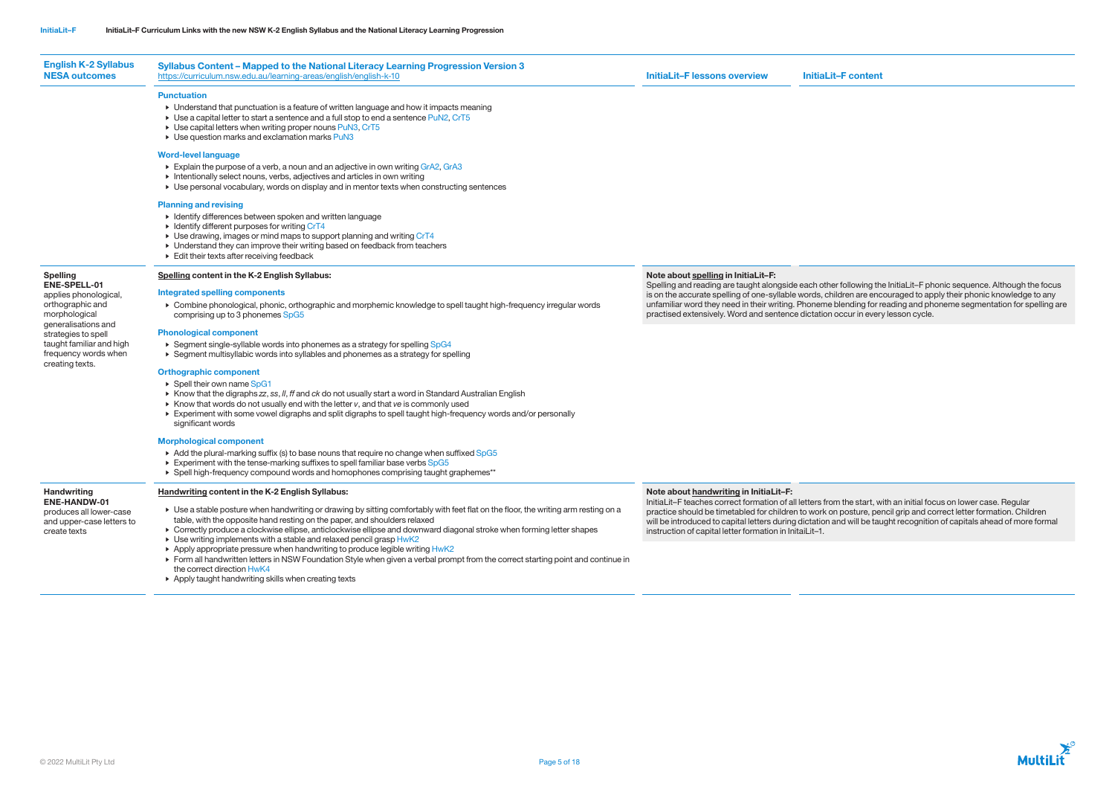| <b>English K-2 Syllabus</b><br><b>NESA outcomes</b>                                                                                                                                                                | <b>Syllabus Content - Mapped to the National Literacy Learning Progression Version 3</b><br>https://curriculum.nsw.edu.au/learning-areas/english/english-k-10                                                                                                                                                                                                                                                                                                                                                                                                                                                                                                                                                                                                                                                                                                                                                                                                                                                                                                                                                                                                                                           | <b>InitiaLit-Flessons overview</b>                                                                                     | <b>InitiaLit-F content</b>                                                                                                                                                                                                                                                                                                                                       |
|--------------------------------------------------------------------------------------------------------------------------------------------------------------------------------------------------------------------|---------------------------------------------------------------------------------------------------------------------------------------------------------------------------------------------------------------------------------------------------------------------------------------------------------------------------------------------------------------------------------------------------------------------------------------------------------------------------------------------------------------------------------------------------------------------------------------------------------------------------------------------------------------------------------------------------------------------------------------------------------------------------------------------------------------------------------------------------------------------------------------------------------------------------------------------------------------------------------------------------------------------------------------------------------------------------------------------------------------------------------------------------------------------------------------------------------|------------------------------------------------------------------------------------------------------------------------|------------------------------------------------------------------------------------------------------------------------------------------------------------------------------------------------------------------------------------------------------------------------------------------------------------------------------------------------------------------|
|                                                                                                                                                                                                                    | <b>Punctuation</b><br>• Understand that punctuation is a feature of written language and how it impacts meaning<br>$\triangleright$ Use a capital letter to start a sentence and a full stop to end a sentence PuN2, CrT5<br>▶ Use capital letters when writing proper nouns PuN3, CrT5<br>▶ Use question marks and exclamation marks PuN3<br><b>Word-level language</b><br>Explain the purpose of a verb, a noun and an adjective in own writing GrA2, GrA3                                                                                                                                                                                                                                                                                                                                                                                                                                                                                                                                                                                                                                                                                                                                            |                                                                                                                        |                                                                                                                                                                                                                                                                                                                                                                  |
|                                                                                                                                                                                                                    | Intentionally select nouns, verbs, adjectives and articles in own writing<br>▶ Use personal vocabulary, words on display and in mentor texts when constructing sentences<br><b>Planning and revising</b><br>▶ Identify differences between spoken and written language<br>• Identify different purposes for writing CrT4<br>▶ Use drawing, images or mind maps to support planning and writing CrT4<br>• Understand they can improve their writing based on feedback from teachers<br>$\triangleright$ Edit their texts after receiving feedback                                                                                                                                                                                                                                                                                                                                                                                                                                                                                                                                                                                                                                                        |                                                                                                                        |                                                                                                                                                                                                                                                                                                                                                                  |
| <b>Spelling</b><br>ENE-SPELL-01<br>applies phonological,<br>orthographic and<br>morphological<br>generalisations and<br>strategies to spell<br>taught familiar and high<br>frequency words when<br>creating texts. | Spelling content in the K-2 English Syllabus:<br>Integrated spelling components<br>▶ Combine phonological, phonic, orthographic and morphemic knowledge to spell taught high-frequency irregular words<br>comprising up to 3 phonemes SpG5<br><b>Phonological component</b><br>▶ Segment single-syllable words into phonemes as a strategy for spelling SpG4<br>► Segment multisyllabic words into syllables and phonemes as a strategy for spelling<br><b>Orthographic component</b><br>▶ Spell their own name SpG1<br>$\triangleright$ Know that the digraphs zz, ss, II, ff and ck do not usually start a word in Standard Australian English<br>$\triangleright$ Know that words do not usually end with the letter $v$ , and that $ve$ is commonly used<br>Experiment with some vowel digraphs and split digraphs to spell taught high-frequency words and/or personally<br>significant words<br><b>Morphological component</b><br>Add the plural-marking suffix (s) to base nouns that require no change when suffixed SpG5<br>Experiment with the tense-marking suffixes to spell familiar base verbs SpG5<br>▶ Spell high-frequency compound words and homophones comprising taught graphemes** | Note about spelling in InitiaLit-F:<br>practised extensively. Word and sentence dictation occur in every lesson cycle. | Spelling and reading are taught alongside each other following the InitiaLit-F phonic sequence. Although the focus<br>is on the accurate spelling of one-syllable words, children are encouraged to apply their phonic knowledge to any<br>unfamiliar word they need in their writing. Phoneme blending for reading and phoneme segmentation for spelling ar     |
| <b>Handwriting</b><br><b>ENE-HANDW-01</b><br>produces all lower-case<br>and upper-case letters to<br>create texts                                                                                                  | <b>Handwriting content in the K-2 English Syllabus:</b><br>► Use a stable posture when handwriting or drawing by sitting comfortably with feet flat on the floor, the writing arm resting on a<br>table, with the opposite hand resting on the paper, and shoulders relaxed<br>► Correctly produce a clockwise ellipse, anticlockwise ellipse and downward diagonal stroke when forming letter shapes<br>▶ Use writing implements with a stable and relaxed pencil grasp HwK2<br>Apply appropriate pressure when handwriting to produce legible writing HwK2<br>Form all handwritten letters in NSW Foundation Style when given a verbal prompt from the correct starting point and continue in                                                                                                                                                                                                                                                                                                                                                                                                                                                                                                         | Note about handwriting in InitiaLit-F:<br>instruction of capital letter formation in InitaiLit-1.                      | InitiaLit-F teaches correct formation of all letters from the start, with an initial focus on lower case. Regular<br>practice should be timetabled for children to work on posture, pencil grip and correct letter formation. Children<br>will be introduced to capital letters during dictation and will be taught recognition of capitals ahead of more formal |
|                                                                                                                                                                                                                    | the correct direction HwK4<br>Apply taught handwriting skills when creating texts                                                                                                                                                                                                                                                                                                                                                                                                                                                                                                                                                                                                                                                                                                                                                                                                                                                                                                                                                                                                                                                                                                                       |                                                                                                                        |                                                                                                                                                                                                                                                                                                                                                                  |

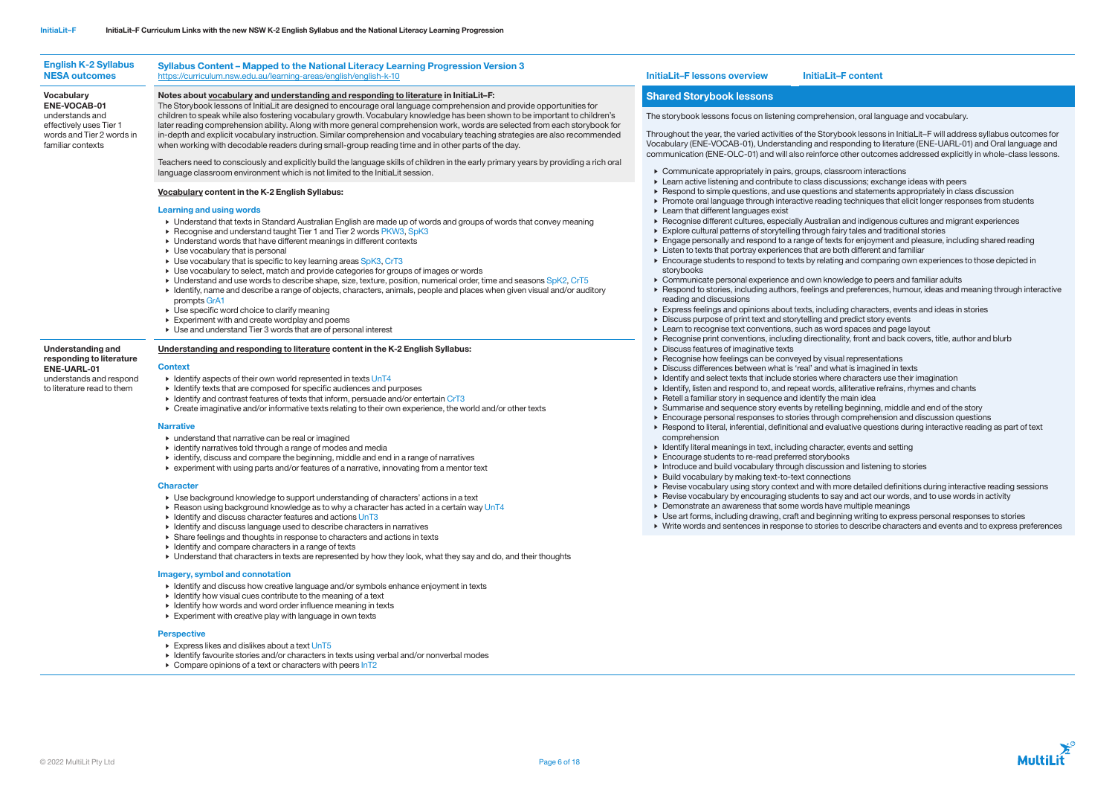| <b>English K-2 Syllabus</b><br><b>NESA outcomes</b>                                                                          | Syllabus Content - Mapped to the National Literacy Learning Progression Version 3<br>https://curriculum.nsw.edu.au/learning-areas/english/english-k-10                                                                                                                                                                                                                                                                                                                                                                                                                                                                                                                                                                                                                                                                                                                                                                                                                                                                                                                                                                                                                                                                                                                                                                                                                                                                                                                                                                                                                                                                                                                                                                                                                                                                                                                                           | <b>InitiaLit-F lessons overview</b>                                                                                                                                                                                                                                                                                                                                                                                                                                                                                                                                                                                                                                                                                                                                                                                                                                                                                                                                                                                                                                                                                                                                                                                                                                                                             | <b>InitiaLit-F content</b>                                  |  |
|------------------------------------------------------------------------------------------------------------------------------|--------------------------------------------------------------------------------------------------------------------------------------------------------------------------------------------------------------------------------------------------------------------------------------------------------------------------------------------------------------------------------------------------------------------------------------------------------------------------------------------------------------------------------------------------------------------------------------------------------------------------------------------------------------------------------------------------------------------------------------------------------------------------------------------------------------------------------------------------------------------------------------------------------------------------------------------------------------------------------------------------------------------------------------------------------------------------------------------------------------------------------------------------------------------------------------------------------------------------------------------------------------------------------------------------------------------------------------------------------------------------------------------------------------------------------------------------------------------------------------------------------------------------------------------------------------------------------------------------------------------------------------------------------------------------------------------------------------------------------------------------------------------------------------------------------------------------------------------------------------------------------------------------|-----------------------------------------------------------------------------------------------------------------------------------------------------------------------------------------------------------------------------------------------------------------------------------------------------------------------------------------------------------------------------------------------------------------------------------------------------------------------------------------------------------------------------------------------------------------------------------------------------------------------------------------------------------------------------------------------------------------------------------------------------------------------------------------------------------------------------------------------------------------------------------------------------------------------------------------------------------------------------------------------------------------------------------------------------------------------------------------------------------------------------------------------------------------------------------------------------------------------------------------------------------------------------------------------------------------|-------------------------------------------------------------|--|
| <b>Vocabulary</b>                                                                                                            | Notes about vocabulary and understanding and responding to literature in InitiaLit-F:                                                                                                                                                                                                                                                                                                                                                                                                                                                                                                                                                                                                                                                                                                                                                                                                                                                                                                                                                                                                                                                                                                                                                                                                                                                                                                                                                                                                                                                                                                                                                                                                                                                                                                                                                                                                            | <b>Shared Storybook lessons</b>                                                                                                                                                                                                                                                                                                                                                                                                                                                                                                                                                                                                                                                                                                                                                                                                                                                                                                                                                                                                                                                                                                                                                                                                                                                                                 |                                                             |  |
| <b>ENE-VOCAB-01</b><br>understands and<br>effectively uses Tier 1<br>words and Tier 2 words in<br>familiar contexts          | The Storybook lessons of InitiaLit are designed to encourage oral language comprehension and provide opportunities for<br>children to speak while also fostering vocabulary growth. Vocabulary knowledge has been shown to be important to children's<br>later reading comprehension ability. Along with more general comprehension work, words are selected from each storybook for<br>in-depth and explicit vocabulary instruction. Similar comprehension and vocabulary teaching strategies are also recommended<br>when working with decodable readers during small-group reading time and in other parts of the day.<br>Teachers need to consciously and explicitly build the language skills of children in the early primary years by providing a rich oral<br>language classroom environment which is not limited to the InitiaLit session.<br>Vocabulary content in the K-2 English Syllabus:<br><b>Learning and using words</b><br>• Understand that texts in Standard Australian English are made up of words and groups of words that convey meaning<br>▶ Recognise and understand taught Tier 1 and Tier 2 words PKW3, SpK3<br>• Understand words that have different meanings in different contexts<br>$\triangleright$ Use vocabulary that is personal<br>► Use vocabulary that is specific to key learning areas SpK3, CrT3<br>• Use vocabulary to select, match and provide categories for groups of images or words<br>> Understand and use words to describe shape, size, texture, position, numerical order, time and seasons SpK2, CrT5<br>• Identify, name and describe a range of objects, characters, animals, people and places when given visual and/or auditory<br>prompts GrA1<br>▶ Use specific word choice to clarify meaning<br>$\triangleright$ Experiment with and create wordplay and poems<br>▶ Use and understand Tier 3 words that are of personal interest | The storybook lessons focus on listening comprehension, oral lar<br>Throughout the year, the varied activities of the Storybook lesson<br>Vocabulary (ENE-VOCAB-01), Understanding and responding to<br>communication (ENE-OLC-01) and will also reinforce other outco<br>• Communicate appropriately in pairs, groups, classroom interal<br>Learn active listening and contribute to class discussions; exc<br>Respond to simple questions, and use questions and statement<br>Promote oral language through interactive reading techniques<br>$\triangleright$ Learn that different languages exist<br>Recognise different cultures, especially Australian and indiger<br>Explore cultural patterns of storytelling through fairy tales and<br>Engage personally and respond to a range of texts for enjoym<br>Listen to texts that portray experiences that are both different<br>Encourage students to respond to texts by relating and comp<br>storybooks<br>• Communicate personal experience and own knowledge to pe<br>Respond to stories, including authors, feelings and preference<br>reading and discussions<br>Express feelings and opinions about texts, including characte<br>Discuss purpose of print text and storytelling and predict stor                                                    | Learn to recognise text conventions, such as word spaces an |  |
| <b>Understanding and</b><br>responding to literature<br>ENE-UARL-01<br>understands and respond<br>to literature read to them | Understanding and responding to literature content in the K-2 English Syllabus:<br><b>Context</b><br>$\triangleright$ Identify aspects of their own world represented in texts UnT4<br>• Identify texts that are composed for specific audiences and purposes<br>• Identify and contrast features of texts that inform, persuade and/or entertain CrT3<br>► Create imaginative and/or informative texts relating to their own experience, the world and/or other texts<br><b>Narrative</b><br>$\triangleright$ understand that narrative can be real or imagined<br>$\triangleright$ identify narratives told through a range of modes and media<br>• identify, discuss and compare the beginning, middle and end in a range of narratives<br>Experiment with using parts and/or features of a narrative, innovating from a mentor text<br><b>Character</b><br>► Use background knowledge to support understanding of characters' actions in a text<br>► Reason using background knowledge as to why a character has acted in a certain way UnT4<br>$\triangleright$ Identify and discuss character features and actions UnT3<br>• Identify and discuss language used to describe characters in narratives<br>▶ Share feelings and thoughts in response to characters and actions in texts<br>$\triangleright$ Identify and compare characters in a range of texts                                                                                                                                                                                                                                                                                                                                                                                                                                                                                                                               | ▶ Recognise print conventions, including directionality, front and<br>$\triangleright$ Discuss features of imaginative texts<br>▶ Recognise how feelings can be conveyed by visual represent.<br>Discuss differences between what is 'real' and what is imagine<br>• Identify and select texts that include stories where characters<br>• Identify, listen and respond to, and repeat words, alliterative re<br>$\triangleright$ Retell a familiar story in sequence and identify the main idea<br>Summarise and sequence story events by retelling beginning<br>Encourage personal responses to stories through comprehen<br>Respond to literal, inferential, definitional and evaluative ques<br>comprehension<br>• Identify literal meanings in text, including character, events an<br>Encourage students to re-read preferred storybooks<br>Introduce and build vocabulary through discussion and listeni<br>▶ Build vocabulary by making text-to-text connections<br>▶ Revise vocabulary using story context and with more detailed<br>▶ Revise vocabulary by encouraging students to say and act ou<br>• Demonstrate an awareness that some words have multiple m<br>▶ Use art forms, including drawing, craft and beginning writing t<br>▶ Write words and sentences in response to stories to describe |                                                             |  |

## Imagery, symbol and connotation

- Identify and discuss how creative language and/or symbols enhance enjoyment in texts
- Identify how visual cues contribute to the meaning of a text
- Identify how words and word order influence meaning in texts
- Experiment with creative play with language in own texts

## **Perspective**

- ▶ Express likes and dislikes about a text UnT5
- Identify favourite stories and/or characters in texts using verbal and/or nonverbal modes
- $\triangleright$  Compare opinions of a text or characters with peers  $\ln T2$

sion, oral language and vocabulary.

oook lessons in InitiaLit–F will address syllabus outcomes for ponding to literature (ENE-UARL-01) and Oral language and communication (ENE-OLC-01) and with also reinforce other outcomes addressed explicitly in whole-class lessons.

 $s$ room interactions

assions; exchange ideas with peers

and statements appropriately in class discussion

techniques that elicit longer responses from students

and indigenous cultures and migrant experiences ry tales and traditional stories

for enjoyment and pleasure, including shared reading eth different and familiar

and comparing own experiences to those depicted in

rledge to peers and familiar adults d preferences, humour, ideas and meaning through interactive

ng characters, events and ideas in stories

predict story events

**spaces and page layout** 

lity, front and back covers, title, author and blurb

al representations

at is imagined in texts

 $e$  characters use their imagination

alliterative refrains, rhymes and chants

the story is beginning, middle and end of the story

comprehension and discussion questions

uative questions during interactive reading as part of text

r, events and setting

n and listening to stories

ore detailed definitions during interactive reading sessions

 $\alpha$  and act our words, and to use words in activity

 $emultiple$  meanings

ing writing to express personal responses to stories

to describe characters and events and to express preferences

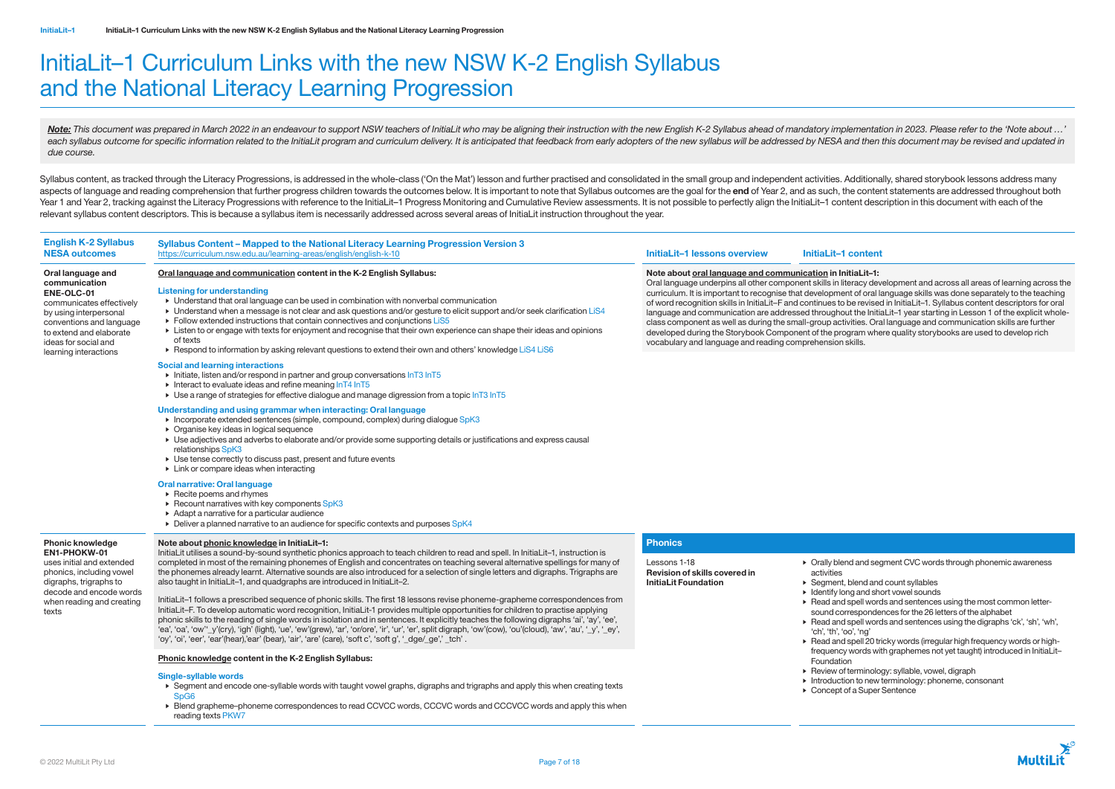# InitiaLit–1 Curriculum Links with the new NSW K-2 English Syllabus and the National Literacy Learning Progression

Note: This document was prepared in March 2022 in an endeavour to support NSW teachers of InitiaLit who may be aligning their instruction with the new English K-2 Syllabus ahead of mandatory implementation in 2023. Please each syllabus outcome for specific information related to the InitiaLit program and curriculum delivery. It is anticipated that feedback from early adopters of the new syllabus will be addressed by NESA and then this docum *due course.*

Syllabus content, as tracked through the Literacy Progressions, is addressed in the whole-class ('On the Mat') lesson and further practised and consolidated in the small group and independent activities. Additionally, shar aspects of language and reading comprehension that further progress children towards the outcomes below. It is important to note that Syllabus outcomes are the goal for the end of Year 2, and as such, the content statement Year 1 and Year 2, tracking against the Literacy Progressions with reference to the InitiaLit-1 Progress Monitoring and Cumulative Review assessments. It is not possible to perfectly align the InitiaLit-1 content descripti relevant syllabus content descriptors. This is because a syllabus item is necessarily addressed across several areas of InitiaLit instruction throughout the year.

## Syllabus Content – Mapped to the National Literacy Learning Progression Version 3 <https://curriculum.nsw.edu.au/learning-areas/english/english-k-10> **InitiaLit–1 lessons overview InitiaLit–1 content**

- $\triangleright$  Initiate, listen and/or respond in partner and group conversations  $\ln$ T3 InT5
- Interact to evaluate ideas and refine meaning InT4 InT5
- Use a range of strategies for effective dialogue and manage digression from a topic InT3 InT5

English K-2 Syllabus NESA outcomes

- Recite poems and rhymes
- $\triangleright$  Recount narratives with key components SpK3
- Adapt a narrative for a particular audience
- $\triangleright$  Deliver a planned narrative to an audience for specific contexts and purposes SpK4

Oral language and communication ENE-OLC-01

communicates effectively by using interpersonal conventions and language to extend and elaborate ideas for social and learning interactions

## Oral language and communication content in the K-2 English Syllabus:

## Listening for understanding

- Understand that oral language can be used in combination with nonverbal communication
- Understand when a message is not clear and ask questions and/or gesture to elicit support and/or seek clarification LiS4
- Follow extended instructions that contain connectives and conjunctions LiS5
- Listen to or engage with texts for enjoyment and recognise that their own experience can shape their ideas and opinions of texts
- Respond to information by asking relevant questions to extend their own and others' knowledge LiS4 LiS6

InitiaLit–1 follows a prescribed sequence of phonic skills. The first 18 lessons revise phoneme-grapheme correspondences from InitiaLit–F. To develop automatic word recognition, InitiaLit-1 provides multiple opportunities for children to practise applying phonic skills to the reading of single words in isolation and in sentences. It explicitly teaches the following digraphs 'ai', 'ay', 'ee', 'ea', 'oa', 'ow''\_y'(cry), 'igh' (light), 'ue', 'ew'(grew), 'ar', 'or/ore', 'ir', 'ur', 'er', split digraph, 'ow'(cow), 'ou'(cloud), 'aw', 'au', '\_y', '\_ey', 'oy', 'oi', 'eer', 'ear'(hear),'ear' (bear), 'air', 'are' (care), 'soft c', 'soft g', '\_dge/\_ge',' \_tch' .

## Social and learning interactions

## Understanding and using grammar when interacting: Oral language

- Incorporate extended sentences (simple, compound, complex) during dialogue SpK3
- Organise key ideas in logical sequence
- Use adjectives and adverbs to elaborate and/or provide some supporting details or justifications and express causal relationships SpK3
- Use tense correctly to discuss past, present and future events
- Link or compare ideas when interacting

## Oral narrative: Oral language

Note about oral language and communication in InitiaLit–1: Oral language underpins all other component skills in literacy development and across all areas of learning across the curriculum. It is important to recognise that development of oral language skills was done separately to the teaching of word recognition skills in InitiaLit–F and continues to be revised in InitiaLit–1. Syllabus content descriptors for oral language and communication are addressed throughout the InitiaLit–1 year starting in Lesson 1 of the explicit wholeclass component as well as during the small-group activities. Oral language and communication skills are further developed during the Storybook Component of the program where quality storybooks are used to develop rich vocabulary and language and reading comprehension skills.

Phonic knowledge

EN1-PHOKW-01 uses initial and extended phonics, including vowel digraphs, trigraphs to decode and encode words when reading and creating texts

## Note about phonic knowledge in InitiaLit–1:

InitiaLit utilises a sound-by-sound synthetic phonics approach to teach children to read and spell. In InitiaLit–1, instruction is completed in most of the remaining phonemes of English and concentrates on teaching several alternative spellings for many of the phonemes already learnt. Alternative sounds are also introduced for a selection of single letters and digraphs. Trigraphs are also taught in InitiaLit–1, and quadgraphs are introduced in InitiaLit–2.

# Phonics

Lessons 1-18 Revision of skills covered in InitiaLit Foundation

• Orally blend and segment CVC words through phonemic awareness

• Segment, blend and count syllables

• Identify long and short vowel sounds

• Read and spell words and sentences using the most common letter-

sound correspondences for the 26 letters of the alphabet

- activities
- 
- 
- 
- 'ch', 'th', 'oo', 'ng'
- Foundation
	-
- 
- 

• Read and spell words and sentences using the digraphs 'ck', 'sh', 'wh',

• Read and spell 20 tricky words (irregular high frequency words or highfrequency words with graphemes not yet taught) introduced in InitiaLit–

• Review of terminology: syllable, vowel, digraph

• Introduction to new terminology: phoneme, consonant

• Concept of a Super Sentence



## Phonic knowledge content in the K-2 English Syllabus:

## Single-syllable words

- Segment and encode one-syllable words with taught vowel graphs, digraphs and trigraphs and apply this when creating texts SpG6
- Blend grapheme–phoneme correspondences to read CCVCC words, CCCVC words and CCCVCC words and apply this when reading texts PKW7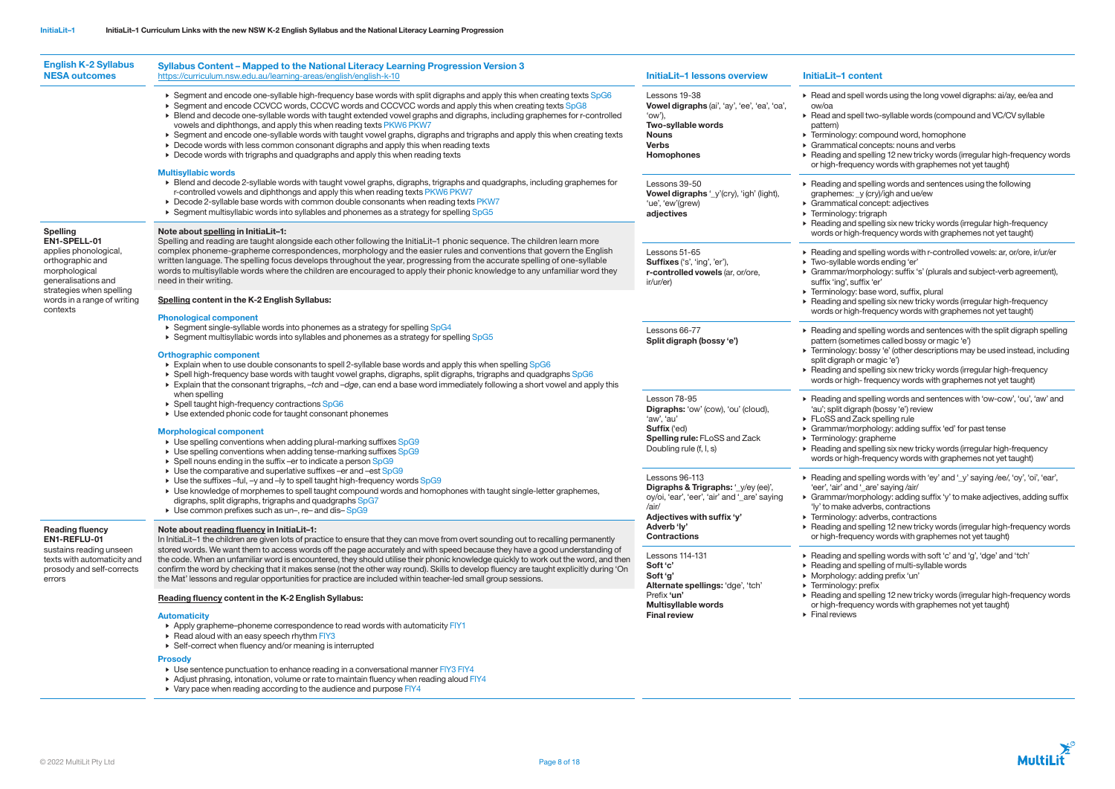| <b>English K-2 Syllabus</b><br><b>NESA outcomes</b>                                                                                                                                                                                                                                                 | <b>Syllabus Content - Mapped to the National Literacy Learning Progression Version 3</b><br>https://curriculum.nsw.edu.au/learning-areas/english/english-k-10                                                                                                                                                                                                                                                                                                                                                                                                                                                                                                                                                                                                                                                                                                                                                                                                                                   | <b>InitiaLit-1 lessons overview</b>                                                                                                                  | <b>InitiaLit-1 content</b>                                                                                                                                                                                                                                                                                                                                                                             |  |
|-----------------------------------------------------------------------------------------------------------------------------------------------------------------------------------------------------------------------------------------------------------------------------------------------------|-------------------------------------------------------------------------------------------------------------------------------------------------------------------------------------------------------------------------------------------------------------------------------------------------------------------------------------------------------------------------------------------------------------------------------------------------------------------------------------------------------------------------------------------------------------------------------------------------------------------------------------------------------------------------------------------------------------------------------------------------------------------------------------------------------------------------------------------------------------------------------------------------------------------------------------------------------------------------------------------------|------------------------------------------------------------------------------------------------------------------------------------------------------|--------------------------------------------------------------------------------------------------------------------------------------------------------------------------------------------------------------------------------------------------------------------------------------------------------------------------------------------------------------------------------------------------------|--|
|                                                                                                                                                                                                                                                                                                     | ► Segment and encode one-syllable high-frequency base words with split digraphs and apply this when creating texts SpG6<br>► Segment and encode CCVCC words, CCCVC words and CCCVCC words and apply this when creating texts SpG8<br>► Blend and decode one-syllable words with taught extended vowel graphs and digraphs, including graphemes for r-controlled<br>vowels and diphthongs, and apply this when reading texts PKW6 PKW7<br>▶ Segment and encode one-syllable words with taught vowel graphs, digraphs and trigraphs and apply this when creating texts<br>▶ Decode words with less common consonant digraphs and apply this when reading texts<br>▶ Decode words with trigraphs and quadgraphs and apply this when reading texts<br><b>Multisyllabic words</b>                                                                                                                                                                                                                    | Lessons 19-38<br>Vowel digraphs (ai', 'ay', 'ee', 'ea', 'oa',<br>'ow'),<br>Two-syllable words<br><b>Nouns</b><br><b>Verbs</b><br><b>Homophones</b>   | ▶ Read and spell words using the long vowel digraphs: ai/ay, ee/ea and<br>ow/oa<br>Read and spell two-syllable words (compound and VC/CV syllable<br>pattern)<br>▶ Terminology: compound word, homophone<br>Grammatical concepts: nouns and verbs<br>▶ Reading and spelling 12 new tricky words (irregular high-frequency we<br>or high-frequency words with graphemes not yet taught)                 |  |
|                                                                                                                                                                                                                                                                                                     | ▶ Blend and decode 2-syllable words with taught vowel graphs, digraphs, trigraphs and quadgraphs, including graphemes for<br>r-controlled vowels and diphthongs and apply this when reading texts PKW6 PKW7<br>▶ Decode 2-syllable base words with common double consonants when reading texts PKW7<br>► Segment multisyllabic words into syllables and phonemes as a strategy for spelling SpG5                                                                                                                                                                                                                                                                                                                                                                                                                                                                                                                                                                                                | Lessons 39-50<br>Vowel digraphs '_y'(cry), 'igh' (light),<br>'ue', 'ew'(grew)<br>adjectives                                                          | ▶ Reading and spelling words and sentences using the following<br>graphemes: _y (cry)/igh and ue/ew<br>▶ Grammatical concept: adjectives<br>$\triangleright$ Terminology: trigraph<br>▶ Reading and spelling six new tricky words (irregular high-frequency                                                                                                                                            |  |
| <b>Spelling</b><br>EN1-SPELL-01                                                                                                                                                                                                                                                                     | Note about spelling in InitiaLit-1:<br>Spelling and reading are taught alongside each other following the InitiaLit-1 phonic sequence. The children learn more                                                                                                                                                                                                                                                                                                                                                                                                                                                                                                                                                                                                                                                                                                                                                                                                                                  |                                                                                                                                                      | words or high-frequency words with graphemes not yet taught)                                                                                                                                                                                                                                                                                                                                           |  |
| applies phonological,<br>orthographic and<br>morphological<br>generalisations and<br>strategies when spelling<br>words in a range of writing<br>contexts<br><b>Reading fluency</b><br>EN1-REFLU-01<br>sustains reading unseen<br>texts with automaticity and<br>prosody and self-corrects<br>errors | complex phoneme-grapheme correspondences, morphology and the easier rules and conventions that govern the English<br>written language. The spelling focus develops throughout the year, progressing from the accurate spelling of one-syllable<br>words to multisyllable words where the children are encouraged to apply their phonic knowledge to any unfamiliar word they<br>need in their writing.                                                                                                                                                                                                                                                                                                                                                                                                                                                                                                                                                                                          | Lessons 51-65<br>Suffixes ('s', 'ing', 'er'),<br>r-controlled vowels (ar, or/ore,<br>ir/ur/er)                                                       | ▶ Reading and spelling words with r-controlled vowels: ar, or/ore, ir/ur/er<br>▶ Two-syllable words ending 'er'<br>Grammar/morphology: suffix 's' (plurals and subject-verb agreement)<br>suffix 'ing', suffix 'er'<br>Ferminology: base word, suffix, plural<br>▶ Reading and spelling six new tricky words (irregular high-frequency<br>words or high-frequency words with graphemes not yet taught) |  |
|                                                                                                                                                                                                                                                                                                     | Spelling content in the K-2 English Syllabus:                                                                                                                                                                                                                                                                                                                                                                                                                                                                                                                                                                                                                                                                                                                                                                                                                                                                                                                                                   |                                                                                                                                                      |                                                                                                                                                                                                                                                                                                                                                                                                        |  |
|                                                                                                                                                                                                                                                                                                     | <b>Phonological component</b><br>▶ Segment single-syllable words into phonemes as a strategy for spelling SpG4<br>► Segment multisyllabic words into syllables and phonemes as a strategy for spelling SpG5<br><b>Orthographic component</b><br>Explain when to use double consonants to spell 2-syllable base words and apply this when spelling SpG6<br>▶ Spell high-frequency base words with taught vowel graphs, digraphs, split digraphs, trigraphs and quadgraphs SpG6<br>Explain that the consonant trigraphs, -tch and -dge, can end a base word immediately following a short vowel and apply this<br>when spelling<br>▶ Spell taught high-frequency contractions SpG6<br>▶ Use extended phonic code for taught consonant phonemes<br><b>Morphological component</b><br>▶ Use spelling conventions when adding plural-marking suffixes SpG9<br>▶ Use spelling conventions when adding tense-marking suffixes SpG9<br>▶ Spell nouns ending in the suffix -er to indicate a person SpG9 | Lessons 66-77<br>Split digraph (bossy 'e')                                                                                                           | Reading and spelling words and sentences with the split digraph spel<br>pattern (sometimes called bossy or magic 'e')<br>Ferminology: bossy 'e' (other descriptions may be used instead, inclue                                                                                                                                                                                                        |  |
|                                                                                                                                                                                                                                                                                                     |                                                                                                                                                                                                                                                                                                                                                                                                                                                                                                                                                                                                                                                                                                                                                                                                                                                                                                                                                                                                 |                                                                                                                                                      | split digraph or magic 'e')<br>▶ Reading and spelling six new tricky words (irregular high-frequency<br>words or high-frequency words with graphemes not yet taught)                                                                                                                                                                                                                                   |  |
|                                                                                                                                                                                                                                                                                                     |                                                                                                                                                                                                                                                                                                                                                                                                                                                                                                                                                                                                                                                                                                                                                                                                                                                                                                                                                                                                 | Lesson 78-95<br>Digraphs: 'ow' (cow), 'ou' (cloud),<br>'aw', 'au'<br><b>Suffix</b> ('ed)<br>Spelling rule: FLoSS and Zack<br>Doubling rule (f, l, s) | ▶ Reading and spelling words and sentences with 'ow-cow', 'ou', 'aw' a<br>'au'; split digraph (bossy 'e') review<br>FLoSS and Zack spelling rule<br>▶ Grammar/morphology: adding suffix 'ed' for past tense<br>▶ Terminology: grapheme<br>▶ Reading and spelling six new tricky words (irregular high-frequency<br>words or high-frequency words with graphemes not yet taught)                        |  |
|                                                                                                                                                                                                                                                                                                     | ▶ Use the comparative and superlative suffixes -er and -est SpG9<br>► Use the suffixes -ful, -y and -ly to spell taught high-frequency words SpG9<br>► Use knowledge of morphemes to spell taught compound words and homophones with taught single-letter graphemes,<br>digraphs, split digraphs, trigraphs and quadgraphs SpG7<br>► Use common prefixes such as un–, re– and dis–SpG9                                                                                                                                                                                                                                                                                                                                                                                                                                                                                                                                                                                                          | Lessons 96-113<br>Digraphs & Trigraphs: '_y/ey (ee)',<br>oy/oi, 'ear', 'eer', 'air' and '_are' saying<br>/air/<br>Adjectives with suffix 'y'         | ▶ Reading and spelling words with 'ey' and '_y' saying /ee/, 'oy', 'oi', 'ear<br>'eer', 'air' and '_are' saying /air/<br>Grammar/morphology: adding suffix 'y' to make adjectives, adding sulfully<br>'ly' to make adverbs, contractions<br>▶ Terminology: adverbs, contractions                                                                                                                       |  |
|                                                                                                                                                                                                                                                                                                     | Note about reading fluency in InitiaLit-1:<br>In InitiaLit-1 the children are given lots of practice to ensure that they can move from overt sounding out to recalling permanently<br>stored words. We want them to access words off the page accurately and with speed because they have a good understanding of<br>the code. When an unfamiliar word is encountered, they should utilise their phonic knowledge quickly to work out the word, and then<br>confirm the word by checking that it makes sense (not the other way round). Skills to develop fluency are taught explicitly during 'On<br>the Mat' lessons and regular opportunities for practice are included within teacher-led small group sessions.                                                                                                                                                                                                                                                                             | Adverb 'ly'<br><b>Contractions</b>                                                                                                                   | ▶ Reading and spelling 12 new tricky words (irregular high-frequency words)<br>or high-frequency words with graphemes not yet taught)                                                                                                                                                                                                                                                                  |  |
|                                                                                                                                                                                                                                                                                                     |                                                                                                                                                                                                                                                                                                                                                                                                                                                                                                                                                                                                                                                                                                                                                                                                                                                                                                                                                                                                 | Lessons 114-131<br>Soft 'c'<br>Soft 'g'<br>Alternate spellings: 'dge', 'tch'                                                                         | ▶ Reading and spelling words with soft 'c' and 'g', 'dge' and 'tch'<br>▶ Reading and spelling of multi-syllable words<br>Morphology: adding prefix 'un'<br>▶ Terminology: prefix                                                                                                                                                                                                                       |  |
|                                                                                                                                                                                                                                                                                                     | Reading fluency content in the K-2 English Syllabus:<br><b>Automaticity</b>                                                                                                                                                                                                                                                                                                                                                                                                                                                                                                                                                                                                                                                                                                                                                                                                                                                                                                                     | Prefix 'un'<br><b>Multisyllable words</b><br><b>Final review</b>                                                                                     | ▶ Reading and spelling 12 new tricky words (irregular high-frequency words)<br>or high-frequency words with graphemes not yet taught)<br>$\triangleright$ Final reviews                                                                                                                                                                                                                                |  |
|                                                                                                                                                                                                                                                                                                     | Apply grapheme-phoneme correspondence to read words with automaticity FIY1<br>$\triangleright$ Read aloud with an easy speech rhythm FIY3<br>▶ Self-correct when fluency and/or meaning is interrupted                                                                                                                                                                                                                                                                                                                                                                                                                                                                                                                                                                                                                                                                                                                                                                                          |                                                                                                                                                      |                                                                                                                                                                                                                                                                                                                                                                                                        |  |

## **Prosody**

- Use sentence punctuation to enhance reading in a conversational manner FIY3 FIY4
- $\blacktriangleright$  Adjust phrasing, intonation, volume or rate to maintain fluency when reading aloud FIY4
- $\triangleright$  Vary pace when reading according to the audience and purpose FIY4

ad spell two-syllable words (compound and VC/CV syllable logy: compound word, homophone atical concepts: nouns and verbs and spelling 12 new tricky words (irregular high-frequency words frequency words with graphemes not yet taught) and spelling words and sentences using the following mes: \_y (cry)/igh and ue/ew atical concept: adjectives • Terminology: trigraph g and spelling six new tricky words (irregular high-frequency r high-frequency words with graphemes not yet taught) g and spelling words with r-controlled vowels: ar, or/ore, ir/ur/er lable words ending 'er' ar/morphology: suffix 's' (plurals and subject-verb agreement), 1g', suffix 'er'  $log$ y: base word, suffix, plural g and spelling six new tricky words (irregular high-frequency r high-frequency words with graphemes not yet taught) **and spelling words and sentences with the split digraph spelling** (sometimes called bossy or magic 'e') logy: bossy 'e' (other descriptions may be used instead, including raph or magic 'e') g and spelling six new tricky words (irregular high-frequency r high- frequency words with graphemes not yet taught) and spelling words and sentences with 'ow-cow', 'ou', 'aw' and t digraph (bossy 'e') review and Zack spelling rule ar/morphology: adding suffix 'ed' for past tense blogy: grapheme g and spelling six new tricky words (irregular high-frequency r high-frequency words with graphemes not yet taught) and spelling words with 'ey' and '\_y' saying /ee/, 'oy', 'oi', 'ear', ' and '\_are' saying /air/ ar/morphology: adding suffix 'y' to make adjectives, adding suffix ake adverbs, contractions logy: adverbs, contractions and spelling 12 new tricky words (irregular high-frequency words frequency words with graphemes not yet taught) ) and spelling words with soft 'c' and 'g', 'dge' and 'tch'  $\frac{1}{4}$  and spelling of multi-syllable words logy: adding prefix 'un' blogy: prefix

<sup>1</sup> and spelling 12 new tricky words (irregular high-frequency words

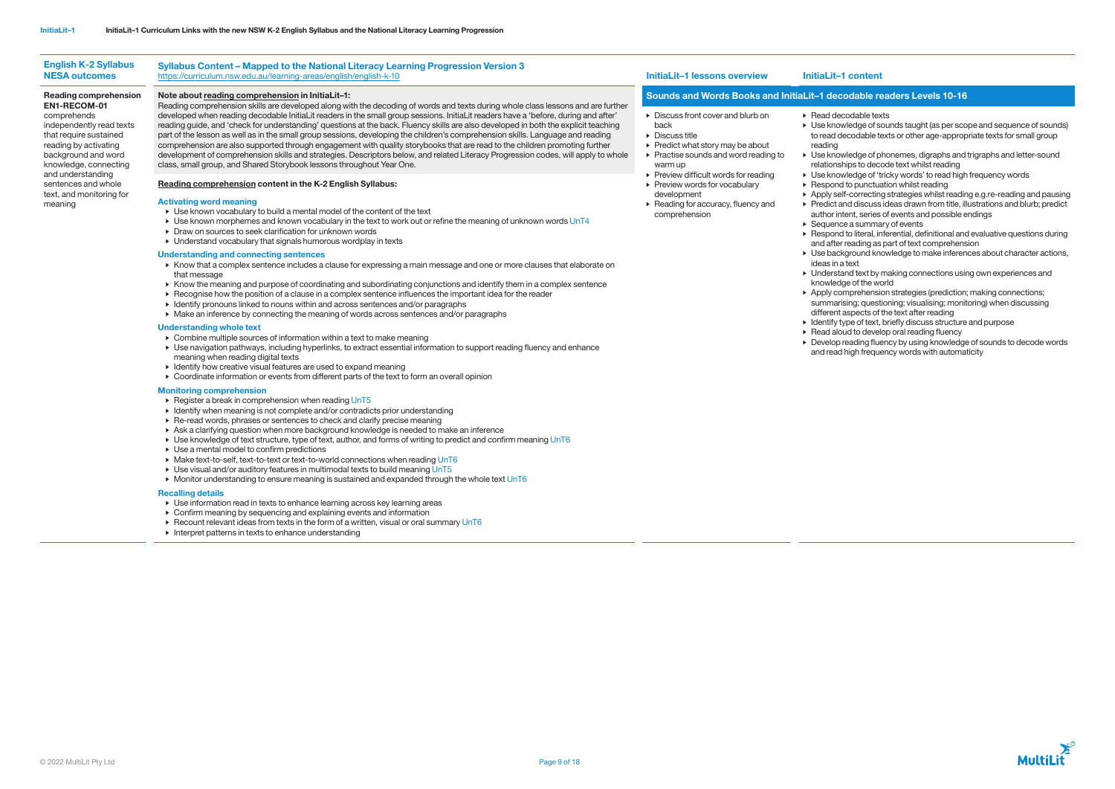| <b>English K-2 Syllabus</b><br><b>NESA outcomes</b>                                                                                                                                                                                                  | Syllabus Content - Mapped to the National Literacy Learning Progression Version 3<br>https://curriculum.nsw.edu.au/learning-areas/english/english-k-10                                                                                                                                                                                                                                                                                                                                                                                                                                                                                                                                                                                                                                                                                                                                          | InitiaLit-1 lessons overview                                                                                                                                                                                                                                                                                                                                                                       | InitiaLit-1 content                                                                                                                                                                                                                                                                                                                                                                                                                                                                                                                                                                                               |
|------------------------------------------------------------------------------------------------------------------------------------------------------------------------------------------------------------------------------------------------------|-------------------------------------------------------------------------------------------------------------------------------------------------------------------------------------------------------------------------------------------------------------------------------------------------------------------------------------------------------------------------------------------------------------------------------------------------------------------------------------------------------------------------------------------------------------------------------------------------------------------------------------------------------------------------------------------------------------------------------------------------------------------------------------------------------------------------------------------------------------------------------------------------|----------------------------------------------------------------------------------------------------------------------------------------------------------------------------------------------------------------------------------------------------------------------------------------------------------------------------------------------------------------------------------------------------|-------------------------------------------------------------------------------------------------------------------------------------------------------------------------------------------------------------------------------------------------------------------------------------------------------------------------------------------------------------------------------------------------------------------------------------------------------------------------------------------------------------------------------------------------------------------------------------------------------------------|
| <b>Reading comprehension</b>                                                                                                                                                                                                                         | Note about reading comprehension in InitiaLit-1:                                                                                                                                                                                                                                                                                                                                                                                                                                                                                                                                                                                                                                                                                                                                                                                                                                                | Sounds and Words Books and InitiaLit-1 decodable re                                                                                                                                                                                                                                                                                                                                                |                                                                                                                                                                                                                                                                                                                                                                                                                                                                                                                                                                                                                   |
| <b>EN1-RECOM-01</b><br>comprehends<br>independently read texts<br>that require sustained<br>reading by activating<br>background and word<br>knowledge, connecting<br>and understanding<br>sentences and whole<br>text, and monitoring for<br>meaning | Reading comprehension skills are developed along with the decoding of words and texts during whole class lessons and are further<br>developed when reading decodable InitiaLit readers in the small group sessions. InitiaLit readers have a 'before, during and after'<br>reading guide, and 'check for understanding' questions at the back. Fluency skills are also developed in both the explicit teaching<br>part of the lesson as well as in the small group sessions, developing the children's comprehension skills. Language and reading<br>comprehension are also supported through engagement with quality storybooks that are read to the children promoting further<br>development of comprehension skills and strategies. Descriptors below, and related Literacy Progression codes, will apply to whole<br>class, small group, and Shared Storybook lessons throughout Year One. | $\triangleright$ Discuss front cover and blurb on<br>back<br>$\triangleright$ Discuss title<br>$\triangleright$ Predict what story may be about<br>$\triangleright$ Practise sounds and word reading to<br>warm up<br>$\triangleright$ Preview difficult words for reading<br>▶ Preview words for vocabulary<br>development<br>$\triangleright$ Reading for accuracy, fluency and<br>comprehension | $\triangleright$ Read decodable tex<br>$\triangleright$ Use knowledge of set<br>to read decodable to<br>reading<br>▶ Use knowledge of p<br>relationships to dec<br>▶ Use knowledge of 't<br>$\triangleright$ Respond to punctua<br>▶ Apply self-correcting<br>$\triangleright$ Predict and discuss<br>author intent, series<br>$\triangleright$ Sequence a summa<br>$\triangleright$ Respond to literal, in<br>and after reading as<br>$\triangleright$ Use background kn<br>ideas in a text<br>• Understand text by<br>knowledge of the wo<br>▶ Apply comprehensie<br>summarising; quest<br>different aspects of |
|                                                                                                                                                                                                                                                      | Reading comprehension content in the K-2 English Syllabus:<br><b>Activating word meaning</b><br>▶ Use known vocabulary to build a mental model of the content of the text<br>$\triangleright$ Use known morphemes and known vocabulary in the text to work out or refine the meaning of unknown words UnT4<br>▶ Draw on sources to seek clarification for unknown words<br>• Understand vocabulary that signals humorous wordplay in texts                                                                                                                                                                                                                                                                                                                                                                                                                                                      |                                                                                                                                                                                                                                                                                                                                                                                                    |                                                                                                                                                                                                                                                                                                                                                                                                                                                                                                                                                                                                                   |
|                                                                                                                                                                                                                                                      | <b>Understanding and connecting sentences</b><br>▶ Know that a complex sentence includes a clause for expressing a main message and one or more clauses that elaborate on<br>that message<br>► Know the meaning and purpose of coordinating and subordinating conjunctions and identify them in a complex sentence<br>▶ Recognise how the position of a clause in a complex sentence influences the important idea for the reader<br>• Identify pronouns linked to nouns within and across sentences and/or paragraphs<br>• Make an inference by connecting the meaning of words across sentences and/or paragraphs                                                                                                                                                                                                                                                                             |                                                                                                                                                                                                                                                                                                                                                                                                    |                                                                                                                                                                                                                                                                                                                                                                                                                                                                                                                                                                                                                   |
|                                                                                                                                                                                                                                                      | <b>Understanding whole text</b><br>• Combine multiple sources of information within a text to make meaning                                                                                                                                                                                                                                                                                                                                                                                                                                                                                                                                                                                                                                                                                                                                                                                      |                                                                                                                                                                                                                                                                                                                                                                                                    | $\triangleright$ Identify type of text,<br>$\triangleright$ Read aloud to devel<br>L. Douglan roading flug                                                                                                                                                                                                                                                                                                                                                                                                                                                                                                        |

- $\blacktriangleright$  Register a break in comprehension when reading UnT5
- Identify when meaning is not complete and/or contradicts prior understanding
- Re-read words, phrases or sentences to check and clarify precise meaning
- Ask a clarifying question when more background knowledge is needed to make an inference
- Use knowledge of text structure, type of text, author, and forms of writing to predict and confirm meaning UnT6
- Use a mental model to confirm predictions
- Make text-to-self, text-to-text or text-to-world connections when reading UnT6
- Use visual and/or auditory features in multimodal texts to build meaning UnT5
- Monitor understanding to ensure meaning is sustained and expanded through the whole text UnT6

• Develop reading fluency by using knowledge of sounds to decode words and read high frequency words with automaticity



- Use navigation pathways, including hyperlinks, to extract essential information to support reading fluency and enhance meaning when reading digital texts
- Identify how creative visual features are used to expand meaning
- Coordinate information or events from different parts of the text to form an overall opinion

## Monitoring comprehension

## Recalling details

- Use information read in texts to enhance learning across key learning areas
- Confirm meaning by sequencing and explaining events and information
- $\triangleright$  Recount relevant ideas from texts in the form of a written, visual or oral summary UnT6
- Interpret patterns in texts to enhance understanding

# able readers Levels 10-16

lable texts

dge of sounds taught (as per scope and sequence of sounds) odable texts or other age-appropriate texts for small group

dge of phonemes, digraphs and trigraphs and letter-sound es to decode text whilst reading

edge of 'tricky words' to read high frequency words <sub>p</sub> punctuation whilst reading

orrecting strategies whilst reading e.g.re-reading and pausing I discuss ideas drawn from title, illustrations and blurb; predict nt, series of events and possible endings  $\alpha$  summary of events

Iteral, inferential, definitional and evaluative questions during ading as part of text comprehension

ound knowledge to make inferences about character actions,

I text by making connections using own experiences and of the world

erehension strategies (prediction; making connections; .<br>ng; questioning; visualising; monitoring) when discussing bects of the text after reading

of text, briefly discuss structure and purpose

to develop oral reading fluency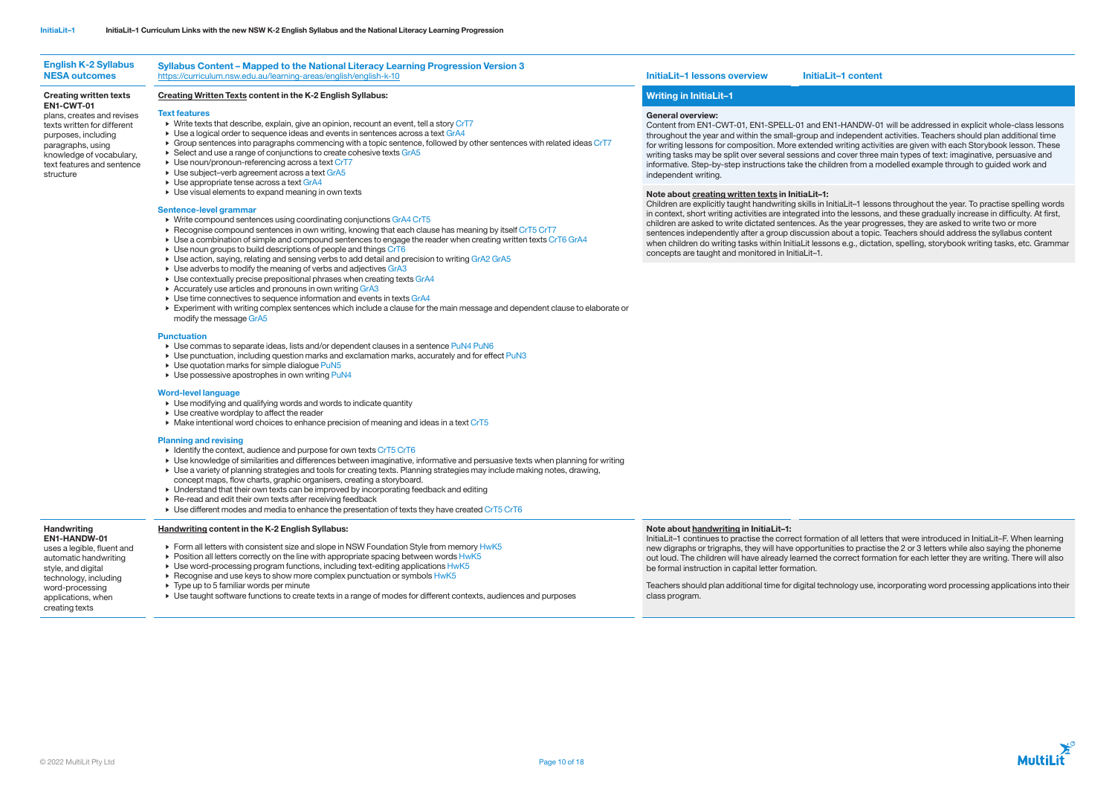

## English K-2 Syllabus NESA outcomes Syllabus Content – Mapped to the National Literacy Learning Progression Version 3

## Creating written texts EN1-CWT-01

plans, creates and revises texts written for different purposes, including paragraphs, using knowledge of vocabulary, text features and sentence structure

# Creating Written Texts content in the K-2 English Syllabus:

## Text features

- Write texts that describe, explain, give an opinion, recount an event, tell a story CrT7
- $\blacktriangleright$  Use a logical order to sequence ideas and events in sentences across a text GrA4
- Group sentences into paragraphs commencing with a topic sentence, followed by other sentences with related ideas CrT7
- ▶ Select and use a range of conjunctions to create cohesive texts GrA5
- ► Use noun/pronoun-referencing across a text CrT7
- Use subject–verb agreement across a text GrA5
- Use appropriate tense across a text GrA4
- Use visual elements to expand meaning in own texts

## Sentence-level grammar

- Identify the context, audience and purpose for own texts CrT5 CrT6
- Use knowledge of similarities and differences between imaginative, informative and persuasive texts when planning for writing
- Use a variety of planning strategies and tools for creating texts. Planning strategies may include making notes, drawing,
- concept maps, flow charts, graphic organisers, creating a storyboard.
- Understand that their own texts can be improved by incorporating feedback and editing
- Re-read and edit their own texts after receiving feedback
- Use different modes and media to enhance the presentation of texts they have created CrT5 CrT6
- Write compound sentences using coordinating conjunctions GrA4 CrT5
- Recognise compound sentences in own writing, knowing that each clause has meaning by itself CrT5 CrT7
- Use a combination of simple and compound sentences to engage the reader when creating written texts CrT6 GrA4
- Use noun groups to build descriptions of people and things CrT6
- Use action, saying, relating and sensing verbs to add detail and precision to writing GrA2 GrA5
- Use adverbs to modify the meaning of verbs and adjectives GrA3
- Use contextually precise prepositional phrases when creating texts GrA4
- Accurately use articles and pronouns in own writing GrA3
- Use time connectives to sequence information and events in texts GrA4
- Experiment with writing complex sentences which include a clause for the main message and dependent clause to elaborate or modify the message GrA5

## **Punctuation**

- $\triangleright$  Use commas to separate ideas, lists and/or dependent clauses in a sentence PuN4 PuN6
- Use punctuation, including question marks and exclamation marks, accurately and for effect PuN3
- Use quotation marks for simple dialogue PuN5
- $\triangleright$  Use possessive apostrophes in own writing PuN4

## **Handwriting** EN1-HANDW-01

## Word-level language

- Use modifying and qualifying words and words to indicate quantity
- Use creative wordplay to affect the reader
- Make intentional word choices to enhance precision of meaning and ideas in a text CrT5

## Planning and revising

# Writing in InitiaLit–1

## General overview:

Content from EN1-CWT-01, EN1-SPELL-01 and EN1-HANDW-01 will be addressed in explicit whole-class lessons throughout the year and within the small-group and independent activities. Teachers should plan additional time for writing lessons for composition. More extended writing activities are given with each Storybook lesson. These writing tasks may be split over several sessions and cover three main types of text: imaginative, persuasive and informative. Step-by-step instructions take the children from a modelled example through to guided work and independent writing.

## Note about creating written texts in InitiaLit–1:

Children are explicitly taught handwriting skills in InitiaLit–1 lessons throughout the year. To practise spelling words in context, short writing activities are integrated into the lessons, and these gradually increase in difficulty. At first, children are asked to write dictated sentences. As the year progresses, they are asked to write two or more sentences independently after a group discussion about a topic. Teachers should address the syllabus content when children do writing tasks within InitiaLit lessons e.g., dictation, spelling, storybook writing tasks, etc. Grammar concepts are taught and monitored in InitiaLit–1.

uses a legible, fluent and automatic handwriting style, and digital technology, including word-processing applications, when creating texts

# Handwriting content in the K-2 English Syllabus:

- Form all letters with consistent size and slope in NSW Foundation Style from memory HwK5
- $\triangleright$  Position all letters correctly on the line with appropriate spacing between words HwK5
- $\triangleright$  Use word-processing program functions, including text-editing applications  $HwK5$
- $\triangleright$  Recognise and use keys to show more complex punctuation or symbols  $HwK5$
- Type up to 5 familiar words per minute
- Use taught software functions to create texts in a range of modes for different contexts, audiences and purposes

## <https://curriculum.nsw.edu.au/learning-areas/english/english-k-10> **InitiaLit–1 lessons overview InitiaLit–1 content**

## Note about handwriting in InitiaLit–1:

InitiaLit–1 continues to practise the correct formation of all letters that were introduced in InitiaLit–F. When learning new digraphs or trigraphs, they will have opportunities to practise the 2 or 3 letters while also saying the phoneme out loud. The children will have already learned the correct formation for each letter they are writing. There will also be formal instruction in capital letter formation.

Teachers should plan additional time for digital technology use, incorporating word processing applications into their class program.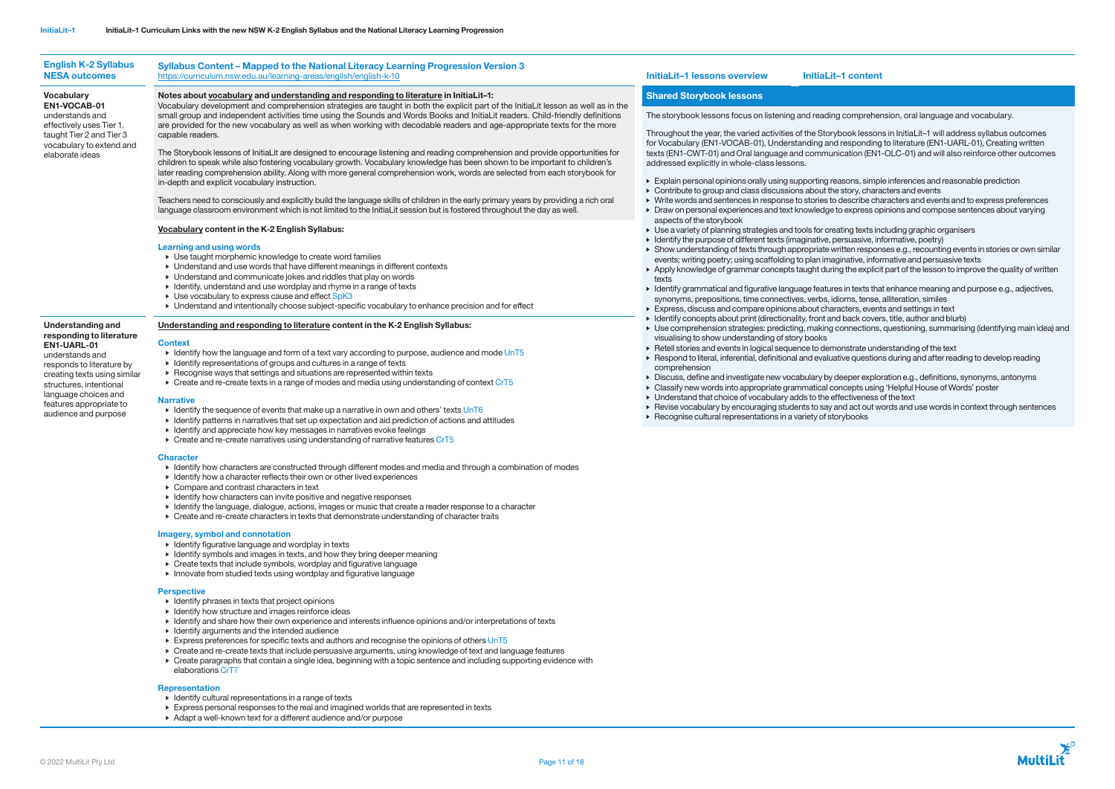| <b>English K-2 Syllabus</b><br><b>NESA outcomes</b>                                                                                                                                                                                                                                                                                                                                                               | Syllabus Content - Mapped to the National Literacy Learning Progression Version 3<br>https://curriculum.nsw.edu.au/learning-areas/english/english-k-10                                                                                                                                                                                                                                                                                                                                                                                                                                                                                                                                                                                                                                                                                                                                                                                                                                                | <b>InitiaLit-1 lessons overview</b><br>InitiaLit-1 content                                                                                                                                                                                                                                                                                                                                                                                                                                                                                                                                                                                                                                                                          |  |  |
|-------------------------------------------------------------------------------------------------------------------------------------------------------------------------------------------------------------------------------------------------------------------------------------------------------------------------------------------------------------------------------------------------------------------|-------------------------------------------------------------------------------------------------------------------------------------------------------------------------------------------------------------------------------------------------------------------------------------------------------------------------------------------------------------------------------------------------------------------------------------------------------------------------------------------------------------------------------------------------------------------------------------------------------------------------------------------------------------------------------------------------------------------------------------------------------------------------------------------------------------------------------------------------------------------------------------------------------------------------------------------------------------------------------------------------------|-------------------------------------------------------------------------------------------------------------------------------------------------------------------------------------------------------------------------------------------------------------------------------------------------------------------------------------------------------------------------------------------------------------------------------------------------------------------------------------------------------------------------------------------------------------------------------------------------------------------------------------------------------------------------------------------------------------------------------------|--|--|
| <b>Vocabulary</b><br>EN1-VOCAB-01<br>understands and<br>effectively uses Tier 1,<br>taught Tier 2 and Tier 3<br>vocabulary to extend and<br>elaborate ideas<br>Understanding and<br>responding to literature<br>EN1-UARL-01<br>understands and<br>responds to literature by<br>creating texts using similar<br>structures, intentional<br>language choices and<br>features appropriate to<br>audience and purpose | Notes about vocabulary and understanding and responding to literature in InitiaLit-1:<br>Vocabulary development and comprehension strategies are taught in both the explicit part of the InitiaLit lesson as well as in the                                                                                                                                                                                                                                                                                                                                                                                                                                                                                                                                                                                                                                                                                                                                                                           | <b>Shared Storybook lessons</b>                                                                                                                                                                                                                                                                                                                                                                                                                                                                                                                                                                                                                                                                                                     |  |  |
|                                                                                                                                                                                                                                                                                                                                                                                                                   | small group and independent activities time using the Sounds and Words Books and InitiaLit readers. Child-friendly definitions<br>are provided for the new vocabulary as well as when working with decodable readers and age-appropriate texts for the more<br>capable readers.<br>The Storybook lessons of InitiaLit are designed to encourage listening and reading comprehension and provide opportunities for<br>children to speak while also fostering vocabulary growth. Vocabulary knowledge has been shown to be important to children's<br>later reading comprehension ability. Along with more general comprehension work, words are selected from each storybook for<br>in-depth and explicit vocabulary instruction.<br>Teachers need to consciously and explicitly build the language skills of children in the early primary years by providing a rich oral<br>language classroom environment which is not limited to the InitiaLit session but is fostered throughout the day as well. | The storybook lessons focus on listening and reading compreher<br>Throughout the year, the varied activities of the Storybook lesson<br>for Vocabulary (EN1-VOCAB-01), Understanding and responding<br>texts (EN1-CWT-01) and Oral language and communication (EN1<br>addressed explicitly in whole-class lessons.<br>Explain personal opinions orally using supporting reasons, simple<br>• Contribute to group and class discussions about the story, chara<br>▶ Write words and sentences in response to stories to describe cha<br>• Draw on personal experiences and text knowledge to express op                                                                                                                              |  |  |
|                                                                                                                                                                                                                                                                                                                                                                                                                   | Vocabulary content in the K-2 English Syllabus:<br><b>Learning and using words</b><br>▶ Use taught morphemic knowledge to create word families<br>▶ Understand and use words that have different meanings in different contexts<br>• Understand and communicate jokes and riddles that play on words<br>• Identify, understand and use wordplay and rhyme in a range of texts<br>▶ Use vocabulary to express cause and effect SpK3<br>• Understand and intentionally choose subject-specific vocabulary to enhance precision and for effect                                                                                                                                                                                                                                                                                                                                                                                                                                                           | aspects of the storybook<br>▶ Use a variety of planning strategies and tools for creating texts in<br>• Identify the purpose of different texts (imaginative, persuasive, in<br>> Show understanding of texts through appropriate written respon<br>events; writing poetry; using scaffolding to plan imaginative, infor<br>Apply knowledge of grammar concepts taught during the explicity<br>texts<br>• Identify grammatical and figurative language features in texts tha<br>synonyms, prepositions, time connectives, verbs, idioms, tense,<br>Express, discuss and compare opinions about characters, event                                                                                                                    |  |  |
|                                                                                                                                                                                                                                                                                                                                                                                                                   | Understanding and responding to literature content in the K-2 English Syllabus:<br><b>Context</b><br>Identify how the language and form of a text vary according to purpose, audience and mode UnT5<br>• Identify representations of groups and cultures in a range of texts<br>▶ Recognise ways that settings and situations are represented within texts<br>► Create and re-create texts in a range of modes and media using understanding of context CrT5<br><b>Narrative</b><br>Identify the sequence of events that make up a narrative in own and others' texts $UnT6$<br>Identify patterns in narratives that set up expectation and aid prediction of actions and attitudes<br>• Identify and appreciate how key messages in narratives evoke feelings<br>▶ Create and re-create narratives using understanding of narrative features CrT5                                                                                                                                                    | • Identify concepts about print (directionality, front and back cover<br>▶ Use comprehension strategies: predicting, making connections,<br>visualising to show understanding of story books<br>▶ Retell stories and events in logical sequence to demonstrate und<br>▶ Respond to literal, inferential, definitional and evaluative question<br>comprehension<br>• Discuss, define and investigate new vocabulary by deeper explo<br>• Classify new words into appropriate grammatical concepts using<br>▶ Understand that choice of vocabulary adds to the effectiveness of<br>▶ Revise vocabulary by encouraging students to say and act out w<br>$\triangleright$ Recognise cultural representations in a variety of storybooks |  |  |
|                                                                                                                                                                                                                                                                                                                                                                                                                   | <b>Character</b><br>• Identify how characters are constructed through different modes and media and through a combination of modes<br>▶ Identify how a character reflects their own or other lived experiences<br>• Compare and contrast characters in text<br>• Identify how characters can invite positive and negative responses<br>Identify the language, dialogue, actions, images or music that create a reader response to a character<br>• Create and re-create characters in texts that demonstrate understanding of character traits                                                                                                                                                                                                                                                                                                                                                                                                                                                        |                                                                                                                                                                                                                                                                                                                                                                                                                                                                                                                                                                                                                                                                                                                                     |  |  |

# Imagery, symbol and connotation

- Identify figurative language and wordplay in texts
- Identify symbols and images in texts, and how they bring deeper meaning
- Create texts that include symbols, wordplay and figurative language
- Innovate from studied texts using wordplay and figurative language

## **Perspective**

- Identify phrases in texts that project opinions
- Identify how structure and images reinforce ideas
- Identify and share how their own experience and interests influence opinions and/or interpretations of texts
- Identify arguments and the intended audience
- Express preferences for specific texts and authors and recognise the opinions of others UnT5
- Create and re-create texts that include persuasive arguments, using knowledge of text and language features
- Create paragraphs that contain a single idea, beginning with a topic sentence and including supporting evidence with elaborations CrT7

## Representation

- Identify cultural representations in a range of texts
- Express personal responses to the real and imagined worlds that are represented in texts
- Adapt a well-known text for a different audience and/or purpose

mprehension, oral language and vocabulary.

- k lessons in InitiaLit–1 will address syllabus outcomes sponding to literature (EN1-UARL-01), Creating written  $t$ ion (EN1-OLC-01) and will also reinforce other outcomes
- ns, simple inferences and reasonable prediction ery, characters and events
- eribe characters and events and to express preferences • Draw on personal experiences and text knowledge to express opinions and compose sentences about varying
- g texts including graphic organisers
- uasive, informative, poetry)
- $en$  responses e.g., recounting events in stories or own similar tive, informative and persuasive texts
- he explicit part of the lesson to improve the quality of written
- texts that enhance meaning and purpose e.g., adjectives,
- is, tense, alliteration, similes
- ers, events and settings in text
- ack covers, title, author and blurb)
- nections, questioning, summarising (identifying main idea) and
- rate understanding of the text questions during and after reading to develop reading
- ber exploration e.g., definitions, synonyms, antonyms epts using 'Helpful House of Words' poster
- $\overline{\phantom{a}}$  iveness of the text
- act out words and use words in context through sentences

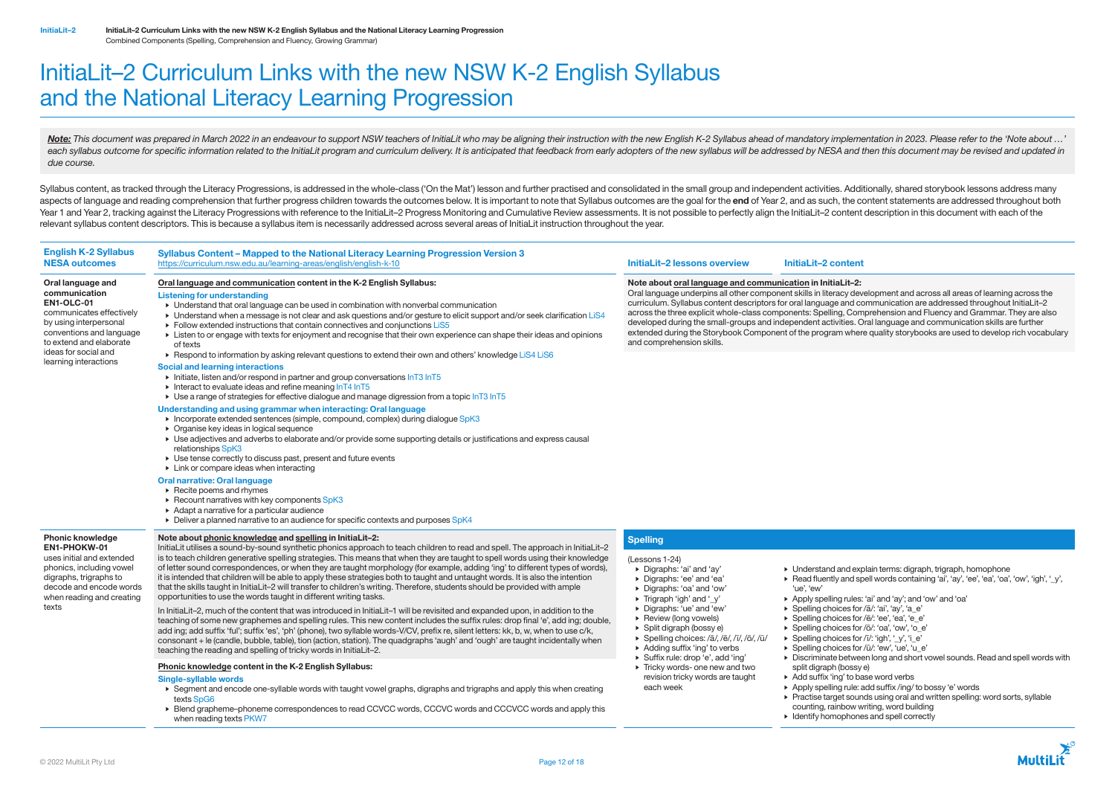# InitiaLit–2 Curriculum Links with the new NSW K-2 English Syllabus and the National Literacy Learning Progression

Note: This document was prepared in March 2022 in an endeavour to support NSW teachers of InitiaLit who may be aligning their instruction with the new English K-2 Syllabus ahead of mandatory implementation in 2023. Please each syllabus outcome for specific information related to the InitiaLit program and curriculum delivery. It is anticipated that feedback from early adopters of the new syllabus will be addressed by NESA and then this docum *due course.*

Syllabus content, as tracked through the Literacy Progressions, is addressed in the whole-class ('On the Mat') lesson and further practised and consolidated in the small group and independent activities. Additionally, shar aspects of language and reading comprehension that further progress children towards the outcomes below. It is important to note that Syllabus outcomes are the goal for the end of Year 2, and as such, the content statement Year 1 and Year 2, tracking against the Literacy Progressions with reference to the InitiaLit–2 Progress Monitoring and Cumulative Review assessments. It is not possible to perfectly align the InitiaLit–2 content descripti relevant syllabus content descriptors. This is because a syllabus item is necessarily addressed across several areas of InitiaLit instruction throughout the year.

> Note about oral language and communication in InitiaLit–2: Oral language underpins all other component skills in literacy development and across all areas of learning across the curriculum. Syllabus content descriptors for oral language and communication are addressed throughout InitiaLit–2 across the three explicit whole-class components: Spelling, Comprehension and Fluency and Grammar. They are also developed during the small-groups and independent activities. Oral language and communication skills are further extended during the Storybook Component of the program where quality storybooks are used to develop rich vocabulary

- 
- 

## English K-2 Syllabus NESA outcomes Syllabus Content – Mapped to the National Literacy Learning Progression Version 3 <https://curriculum.nsw.edu.au/learning-areas/english/english-k-10> **InitiaLit–2 lessons overview InitiaLit–2 content** Oral language and communication EN1-OLC-01 communicates effectively by using interpersonal conventions and language to extend and elaborate ideas for social and learning interactions Oral language and communication content in the K-2 English Syllabus: Listening for understanding • Understand that oral language can be used in combination with nonverbal communication • Understand when a message is not clear and ask questions and/or gesture to elicit support and/or seek clarification LiS4 • Follow extended instructions that contain connectives and conjunctions LiS5 • Listen to or engage with texts for enjoyment and recognise that their own experience can shape their ideas and opinions of texts • Respond to information by asking relevant questions to extend their own and others' knowledge LiS4 LiS6 Social and learning interactions • Initiate, listen and/or respond in partner and group conversations InT3 InT5 Interact to evaluate ideas and refine meaning  $lnT4 lnT5$ • Use a range of strategies for effective dialogue and manage digression from a topic InT3 InT5 Understanding and using grammar when interacting: Oral language • Incorporate extended sentences (simple, compound, complex) during dialogue SpK3 • Organise key ideas in logical sequence • Use adjectives and adverbs to elaborate and/or provide some supporting details or justifications and express causal relationships SpK3 • Use tense correctly to discuss past, present and future events • Link or compare ideas when interacting Oral narrative: Oral language • Recite poems and rhymes ▶ Recount narratives with key components SpK3 • Adapt a narrative for a particular audience • Deliver a planned narrative to an audience for specific contexts and purposes SpK4 and comprehension skills. Phonic knowledge EN1-PHOKW-01 uses initial and extended phonics, including vowel digraphs, trigraphs to decode and encode words when reading and creating texts Note about phonic knowledge and spelling in InitiaLit–2: InitiaLit utilises a sound-by-sound synthetic phonics approach to teach children to read and spell. The approach in InitiaLit–2 is to teach children generative spelling strategies. This means that when they are taught to spell words using their knowledge of letter sound correspondences, or when they are taught morphology (for example, adding 'ing' to different types of words), it is intended that children will be able to apply these strategies both to taught and untaught words. It is also the intention that the skills taught in InitiaLit–2 will transfer to children's writing. Therefore, students should be provided with ample opportunities to use the words taught in different writing tasks. In InitiaLit–2, much of the content that was introduced in InitiaLit–1 will be revisited and expanded upon, in addition to the teaching of some new graphemes and spelling rules. This new content includes the suffix rules: drop final 'e', add ing; double, add ing; add suffix 'ful'; suffix 'es', 'ph' (phone), two syllable words-V/CV, prefix re, silent letters: kk, b, w, when to use c/k, consonant + le (candle, bubble, table), tion (action, station). The quadgraphs 'augh' and 'ough' are taught incidentally when teaching the reading and spelling of tricky words in InitiaLit–2. **Spelling** (Lessons 1-24) • Digraphs: 'ai' and 'ay' • Digraphs: 'ee' and 'ea' • Digraphs: 'oa' and 'ow' • Trigraph 'igh' and '\_y' • Digraphs: 'ue' and 'ew' • Review (long vowels) • Split digraph (bossy e) • Spelling choices: /ā/, /ē/, /ī/, /ō/, /ū/ • Adding suffix 'ing' to verbs • Suffix rule: drop 'e', add 'ing' • Tricky words- one new and two revision tricky words are taught each week • Understand and explain terms: digraph, trigraph, homophone 'ue', 'ew' split digraph (bossy e) Phonic knowledge content in the K-2 English Syllabus: Single-syllable words • Segment and encode one-syllable words with taught vowel graphs, digraphs and trigraphs and apply this when creating texts SpG6

• Read fluently and spell words containing 'ai', 'ay', 'ee', 'ea', 'oa', 'ow', 'igh', '\_y', • Apply spelling rules: 'ai' and 'ay'; and 'ow' and 'oa' • Spelling choices for /ā/: 'ai', 'ay', 'a\_e' • Spelling choices for /ē/: 'ee', 'ea', 'e\_e' • Spelling choices for /ō/: 'oa', 'ow', 'o\_e'

 $\triangleright$  Spelling choices for  $\sqrt{1}$ : 'igh', '\_y', 'i\_e'

• Spelling choices for /ū/: 'ew', 'ue', 'u\_e'

• Discriminate between long and short vowel sounds. Read and spell words with

• Add suffix 'ing' to base word verbs

• Apply spelling rule: add suffix /ing/ to bossy 'e' words

• Practise target sounds using oral and written spelling: word sorts, syllable

counting, rainbow writing, word building

• Identify homophones and spell correctly



• Blend grapheme–phoneme correspondences to read CCVCC words, CCCVC words and CCCVCC words and apply this when reading texts PKW7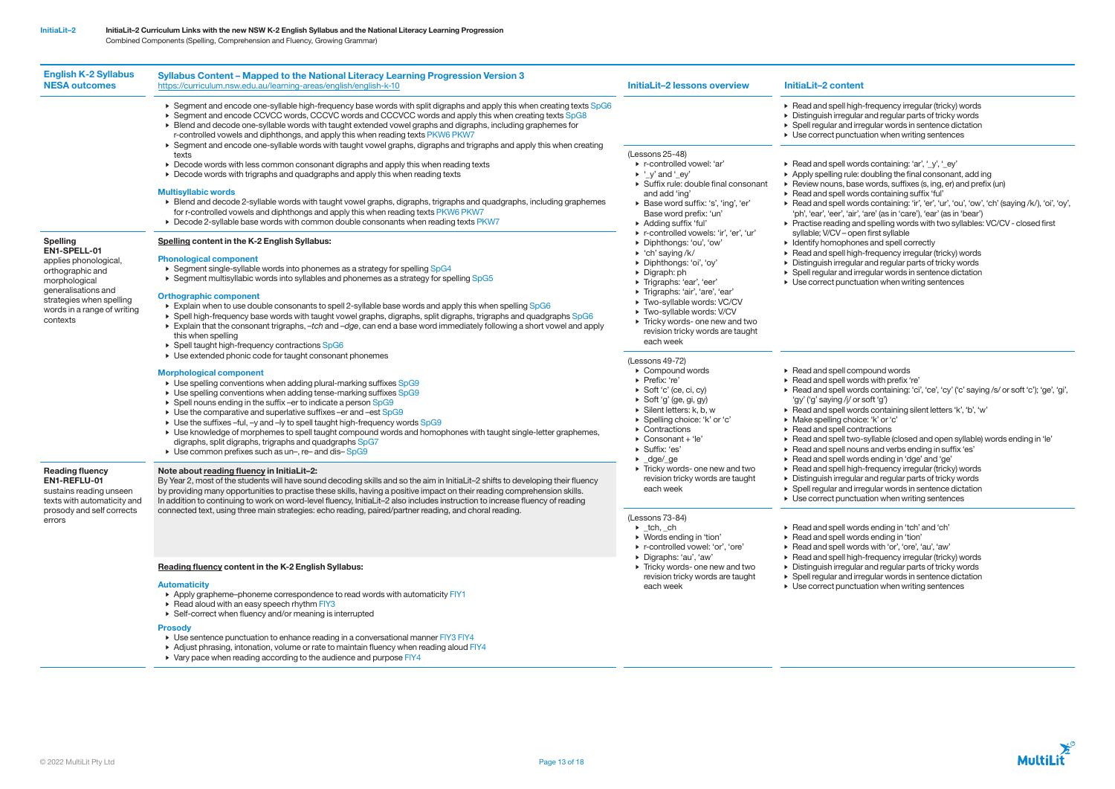| <b>English K-2 Syllabus</b><br><b>NESA outcomes</b>                                                                                                                                         | Syllabus Content - Mapped to the National Literacy Learning Progression Version 3<br>https://curriculum.nsw.edu.au/learning-areas/english/english-k-10                                                                                                                                                                                                                                                                                                                                                                                                                                                                                                                                                                                                                                                                                                                                                                                                                                                                                                                                                                                                                                                                                                                                                                                                                                                                                                                                                                                                                                                                                                                                                                                                                                                                                     | <b>InitiaLit-2 lessons overview</b>                                                                                                                                                                                                                                                                                                                                                                                                                                                                                                                                                                                   | InitiaLit-2 content                                                                                                                                                                                                                                                                                                                                                                                                                                                                                                                                                  |
|---------------------------------------------------------------------------------------------------------------------------------------------------------------------------------------------|--------------------------------------------------------------------------------------------------------------------------------------------------------------------------------------------------------------------------------------------------------------------------------------------------------------------------------------------------------------------------------------------------------------------------------------------------------------------------------------------------------------------------------------------------------------------------------------------------------------------------------------------------------------------------------------------------------------------------------------------------------------------------------------------------------------------------------------------------------------------------------------------------------------------------------------------------------------------------------------------------------------------------------------------------------------------------------------------------------------------------------------------------------------------------------------------------------------------------------------------------------------------------------------------------------------------------------------------------------------------------------------------------------------------------------------------------------------------------------------------------------------------------------------------------------------------------------------------------------------------------------------------------------------------------------------------------------------------------------------------------------------------------------------------------------------------------------------------|-----------------------------------------------------------------------------------------------------------------------------------------------------------------------------------------------------------------------------------------------------------------------------------------------------------------------------------------------------------------------------------------------------------------------------------------------------------------------------------------------------------------------------------------------------------------------------------------------------------------------|----------------------------------------------------------------------------------------------------------------------------------------------------------------------------------------------------------------------------------------------------------------------------------------------------------------------------------------------------------------------------------------------------------------------------------------------------------------------------------------------------------------------------------------------------------------------|
| <b>Spelling</b><br>EN1-SPELL-01<br>applies phonological,<br>orthographic and<br>morphological<br>generalisations and<br>strategies when spelling<br>words in a range of writing<br>contexts | ▶ Segment and encode one-syllable high-frequency base words with split digraphs and apply this when creating texts SpG6<br>▶ Segment and encode CCVCC words, CCCVC words and CCCVCC words and apply this when creating texts SpG8<br>• Blend and decode one-syllable words with taught extended vowel graphs and digraphs, including graphemes for<br>r-controlled vowels and diphthongs, and apply this when reading texts PKW6 PKW7<br>▶ Segment and encode one-syllable words with taught vowel graphs, digraphs and trigraphs and apply this when creating<br>texts<br>▶ Decode words with less common consonant digraphs and apply this when reading texts<br>• Decode words with trigraphs and quadgraphs and apply this when reading texts<br><b>Multisyllabic words</b><br>▶ Blend and decode 2-syllable words with taught vowel graphs, digraphs, trigraphs and quadgraphs, including graphemes<br>for r-controlled vowels and diphthongs and apply this when reading texts PKW6 PKW7<br>▶ Decode 2-syllable base words with common double consonants when reading texts PKW7<br>Spelling content in the K-2 English Syllabus:<br><b>Phonological component</b><br>▶ Segment single-syllable words into phonemes as a strategy for spelling SpG4<br>$\triangleright$ Segment multisyllabic words into syllables and phonemes as a strategy for spelling SpG5<br><b>Orthographic component</b><br>Explain when to use double consonants to spell 2-syllable base words and apply this when spelling SpG6<br>▶ Spell high-frequency base words with taught vowel graphs, digraphs, split digraphs, trigraphs and quadgraphs SpG6<br>Explain that the consonant trigraphs, -tch and -dge, can end a base word immediately following a short vowel and apply<br>this when spelling<br>▶ Spell taught high-frequency contractions SpG6 | (Lessons 25-48)<br>▶ r-controlled vowel: 'ar'<br>$\blacktriangleright$ '_y' and '_ey'<br>▶ Suffix rule: double final consonant<br>and add 'ing'<br>▶ Base word suffix: 's', 'ing', 'er'<br>Base word prefix: 'un'<br>Adding suffix 'ful'<br>r-controlled vowels: 'ir', 'er', 'ur'<br>Diphthongs: 'ou', 'ow'<br>$\triangleright$ 'ch' saying /k/<br>Diphthongs: 'oi', 'oy'<br>$\triangleright$ Digraph: ph<br>▶ Trigraphs: 'ear', 'eer'<br>▶ Trigraphs: 'air', 'are', 'ear'<br>Two-syllable words: VC/CV<br>Two-syllable words: V/CV<br>Tricky words- one new and two<br>revision tricky words are taught<br>each week | Read and spell high-<br>Distinguish irregular<br>$\triangleright$ Spell regular and irre<br>$\triangleright$ Use correct punctua<br>Read and spell word<br>$\triangleright$ Apply spelling rule: o<br>Review nouns, base<br>Read and spell word<br>$\triangleright$ Read and spell word<br>'ph', 'ear', 'eer', 'air', '<br>$\triangleright$ Practise reading and<br>syllable; V/CV - oper<br>$\triangleright$ Identify homophone<br>Read and spell high-<br>Distinguish irregular<br>$\triangleright$ Spell regular and irre<br>$\triangleright$ Use correct punctua |
|                                                                                                                                                                                             | ▶ Use extended phonic code for taught consonant phonemes<br><b>Morphological component</b><br>► Use spelling conventions when adding plural-marking suffixes SpG9<br>► Use spelling conventions when adding tense-marking suffixes SpG9<br>▶ Spell nouns ending in the suffix -er to indicate a person SpG9<br>► Use the comparative and superlative suffixes -er and -est SpG9<br>► Use the suffixes -ful, -y and -ly to spell taught high-frequency words SpG9<br>> Use knowledge of morphemes to spell taught compound words and homophones with taught single-letter graphemes,<br>digraphs, split digraphs, trigraphs and quadgraphs SpG7<br>► Use common prefixes such as un-, re- and dis-SpG9                                                                                                                                                                                                                                                                                                                                                                                                                                                                                                                                                                                                                                                                                                                                                                                                                                                                                                                                                                                                                                                                                                                                      | (Lessons 49-72)<br>$\triangleright$ Compound words<br>▶ Prefix: 're'<br>$\triangleright$ Soft 'c' (ce, ci, cy)<br>▶ Soft 'g' (ge, gi, gy)<br>$\triangleright$ Silent letters: k, b, w<br>▶ Spelling choice: 'k' or 'c'<br>▶ Contractions<br>$\triangleright$ Consonant + 'le'<br>▶ Suffix: 'es'                                                                                                                                                                                                                                                                                                                       | $\triangleright$ Read and spell com<br>Read and spell word<br>Read and spell word<br>'gy' ('g' saying /j/ or s<br>Read and spell word<br>• Make spelling choic<br>▶ Read and spell cont<br>$\triangleright$ Read and spell two-<br>Read and spell nour                                                                                                                                                                                                                                                                                                               |
| <b>Reading fluency</b><br>EN1-REFLU-01<br>sustains reading unseen<br>texts with automaticity and<br>prosody and self corrects<br>errors                                                     | Note about reading fluency in InitiaLit-2:<br>By Year 2, most of the students will have sound decoding skills and so the aim in InitiaLit-2 shifts to developing their fluency<br>by providing many opportunities to practise these skills, having a positive impact on their reading comprehension skills.<br>In addition to continuing to work on word-level fluency, InitiaLit-2 also includes instruction to increase fluency of reading<br>connected text, using three main strategies: echo reading, paired/partner reading, and choral reading.                                                                                                                                                                                                                                                                                                                                                                                                                                                                                                                                                                                                                                                                                                                                                                                                                                                                                                                                                                                                                                                                                                                                                                                                                                                                                     | $\blacktriangleright$ _dge/_ge<br>Tricky words- one new and two<br>revision tricky words are taught<br>each week<br>(Lessons 73-84)<br>$\blacktriangleright$ _tch, _ch<br>▶ Words ending in 'tion'<br>▶ r-controlled vowel: 'or', 'ore'<br>Digraphs: 'au', 'aw'<br>Tricky words- one new and two<br>revision tricky words are taught<br>each week                                                                                                                                                                                                                                                                     | Read and spell word<br>Read and spell high-<br>Distinguish irregular<br>$\triangleright$ Spell regular and irre<br>• Use correct punctua<br>Read and spell word<br>Read and spell word<br>▶ Read and spell word<br>$\triangleright$ Read and spell high-<br>Distinguish irregular<br>$\triangleright$ Spell regular and irre<br>• Use correct punctua                                                                                                                                                                                                                |
|                                                                                                                                                                                             | Reading fluency content in the K-2 English Syllabus:<br><b>Automaticity</b><br>Apply grapheme-phoneme correspondence to read words with automaticity FIY1<br>▶ Read aloud with an easy speech rhythm FIY3<br>▶ Self-correct when fluency and/or meaning is interrupted<br><b>Prosody</b><br>• Use sentence punctuation to enhance reading in a conversational manner FIY3 FIY4<br>Adjust phrasing, intonation, volume or rate to maintain fluency when reading aloud FIY4<br>▶ Vary pace when reading according to the audience and purpose FIY4                                                                                                                                                                                                                                                                                                                                                                                                                                                                                                                                                                                                                                                                                                                                                                                                                                                                                                                                                                                                                                                                                                                                                                                                                                                                                           |                                                                                                                                                                                                                                                                                                                                                                                                                                                                                                                                                                                                                       |                                                                                                                                                                                                                                                                                                                                                                                                                                                                                                                                                                      |

high-frequency irregular (tricky) words gular and regular parts of tricky words nd irregular words in sentence dictation nctuation when writing sentences

words containing: 'ar', '\_y', '\_ey' ule: doubling the final consonant, add ing base words, suffixes (s, ing, er) and prefix (un) words containing suffix 'ful' words containing: 'ir', 'er', 'ur', 'ou', 'ow', 'ch' (saying /k/), 'oi', 'oy', 'air', 'are' (as in 'care'), 'ear' (as in 'bear') g and spelling words with two syllables: VC/CV - closed first open first syllable

- hones and spell correctly
- high-frequency irregular (tricky) words
- quiar and regular parts of tricky words
- $\frac{3}{5}$ d irregular words in sentence dictation
- nctuation when writing sentences

compound words

- words with prefix 're'
- words containing: 'ci', 'ce', 'cy' ('c' saying /s/ or soft 'c'); 'ge', 'gi',
- 'j/ or soft 'g')
- words containing silent letters 'k', 'b', 'w'
- hoice: 'k' or 'c'
- contractions
- two-syllable (closed and open syllable) words ending in 'le'
- nouns and verbs ending in suffix 'es'
- words ending in 'dge' and 'ge'
- high-frequency irregular (tricky) words
- quiar and regular parts of tricky words
- d irregular words in sentence dictation
- nctuation when writing sentences
- words ending in 'tch' and 'ch'
- words ending in 'tion'
- words with 'or', 'ore', 'au', 'aw'
- high-frequency irregular (tricky) words
- gular and regular parts of tricky words
- d irregular words in sentence dictation
- nctuation when writing sentences

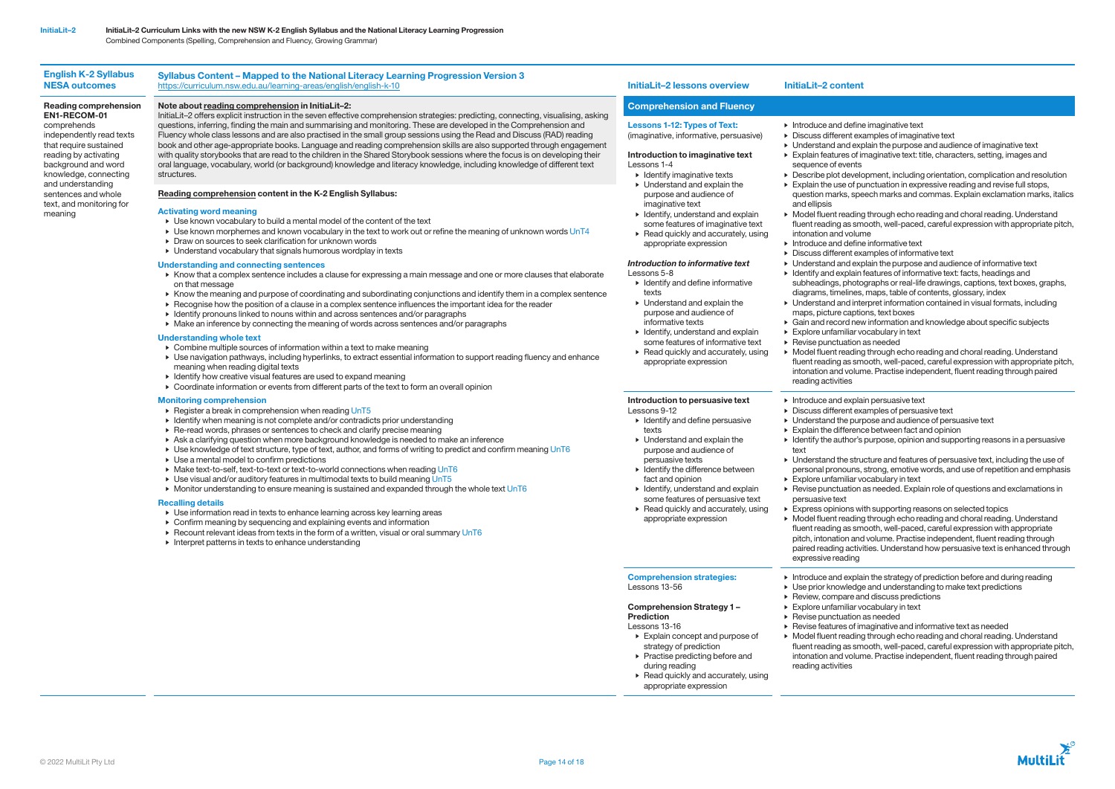# English K-2 Syllabus NESA outcomes

# Reading comprehension EN1-RECOM-01

comprehends independently read texts that require sustained reading by activating background and word knowledge, connecting and understanding sentences and whole text, and monitoring for meaning

# Note about reading comprehension in InitiaLit–2:

InitiaLit–2 offers explicit instruction in the seven effective comprehension strategies: predicting, connecting, visualising, asking questions, inferring, finding the main and summarising and monitoring. These are developed in the Comprehension and Fluency whole class lessons and are also practised in the small group sessions using the Read and Discuss (RAD) reading book and other age-appropriate books. Language and reading comprehension skills are also supported through engagement with quality storybooks that are read to the children in the Shared Storybook sessions where the focus is on developing their oral language, vocabulary, world (or background) knowledge and literacy knowledge, including knowledge of different text structures.

## Comprehension and Fluency

# Lessons 1-12: Types of Text:

# (imaginative, informative, persuasive)

# Introduction to imaginative text Lessons 1-4

- Identify imaginative texts • Understand and explain the purpose and audience of imaginative text
- Identify, understand and explain some features of imaginative text
- Read quickly and accurately, using appropriate expression

## *Introduction to informative text* Lessons 5-8

- Identify and define informative texts
- Understand and explain the purpose and audience of informative texts
- Identify, understand and explain some features of informative text
- $\blacktriangleright$  Read quickly and accurately, using appropriate expression

and ellipsis

- Register a break in comprehension when reading UnT5
- Identify when meaning is not complete and/or contradicts prior understanding
- Re-read words, phrases or sentences to check and clarify precise meaning
- Ask a clarifying question when more background knowledge is needed to make an inference
- Use knowledge of text structure, type of text, author, and forms of writing to predict and confirm meaning UnT6
- Use a mental model to confirm predictions
- Make text-to-self, text-to-text or text-to-world connections when reading UnT6
- Use visual and/or auditory features in multimodal texts to build meaning UnT5
- Monitor understanding to ensure meaning is sustained and expanded through the whole text UnT6

## Comprehension Strategy 1 – **Prediction**

## Reading comprehension content in the K-2 English Syllabus:

## Activating word meaning

- Use known vocabulary to build a mental model of the content of the text
- Use known morphemes and known vocabulary in the text to work out or refine the meaning of unknown words UnT4
- Draw on sources to seek clarification for unknown words
- Understand vocabulary that signals humorous wordplay in texts

## Understanding and connecting sentences

- Know that a complex sentence includes a clause for expressing a main message and one or more clauses that elaborate on that message
- Know the meaning and purpose of coordinating and subordinating conjunctions and identify them in a complex sentence
- Recognise how the position of a clause in a complex sentence influences the important idea for the reader
- Identify pronouns linked to nouns within and across sentences and/or paragraphs
- Make an inference by connecting the meaning of words across sentences and/or paragraphs

## Understanding whole text

- Combine multiple sources of information within a text to make meaning
- Use navigation pathways, including hyperlinks, to extract essential information to support reading fluency and enhance meaning when reading digital texts
- Identify how creative visual features are used to expand meaning
- Coordinate information or events from different parts of the text to form an overall opinion

## Monitoring comprehension

- Introduce and define imaginative text
- Discuss different examples of imaginative text
- Understand and explain the purpose and audience of imaginative text
- Explain features of imaginative text: title, characters, setting, images and sequence of events
- Describe plot development, including orientation, complication and resolution • Explain the use of punctuation in expressive reading and revise full stops,
- question marks, speech marks and commas. Explain exclamation marks, italics
- Model fluent reading through echo reading and choral reading. Understand fluent reading as smooth, well-paced, careful expression with appropriate pitch, intonation and volume
- Introduce and define informative text
- Discuss different examples of informative text
- Understand and explain the purpose and audience of informative text
- Identify and explain features of informative text: facts, headings and
- subheadings, photographs or real-life drawings, captions, text boxes, graphs, diagrams, timelines, maps, table of contents, glossary, index
- Understand and interpret information contained in visual formats, including maps, picture captions, text boxes
- Gain and record new information and knowledge about specific subjects • Explore unfamiliar vocabulary in text
- Revise punctuation as needed
- Model fluent reading through echo reading and choral reading. Understand fluent reading as smooth, well-paced, careful expression with appropriate pitch, intonation and volume. Practise independent, fluent reading through paired reading activities
- Introduce and explain persuasive text
- Discuss different examples of persuasive text
- Understand the purpose and audience of persuasive text
- Explain the difference between fact and opinion
- Identify the author's purpose, opinion and supporting reasons in a persuasive
- Understand the structure and features of persuasive text, including the use of personal pronouns, strong, emotive words, and use of repetition and emphasis • Explore unfamiliar vocabulary in text
- Revise punctuation as needed. Explain role of questions and exclamations in persuasive text
- Express opinions with supporting reasons on selected topics
- Model fluent reading through echo reading and choral reading. Understand fluent reading as smooth, well-paced, careful expression with appropriate pitch, intonation and volume. Practise independent, fluent reading through paired reading activities. Understand how persuasive text is enhanced through expressive reading
- Introduce and explain the strategy of prediction before and during reading • Use prior knowledge and understanding to make text predictions
- Review, compare and discuss predictions
- Explore unfamiliar vocabulary in text
- Revise punctuation as needed
- Revise features of imaginative and informative text as needed
- Model fluent reading through echo reading and choral reading. Understand fluent reading as smooth, well-paced, careful expression with appropriate pitch, intonation and volume. Practise independent, fluent reading through paired reading activities



## Recalling details

- Use information read in texts to enhance learning across key learning areas
- Confirm meaning by sequencing and explaining events and information
- $\blacktriangleright$  Recount relevant ideas from texts in the form of a written, visual or oral summary UnT6
- Interpret patterns in texts to enhance understanding

## Introduction to persuasive text

- Lessons 9-12 • Identify and define persuasive
- texts • Understand and explain the
- purpose and audience of persuasive texts
- Identify the difference between fact and opinion
- Identify, understand and explain some features of persuasive text
- $\blacktriangleright$  Read quickly and accurately, using appropriate expression

text

## Comprehension strategies: Lessons 13-56

- Lessons 13-16
- Explain concept and purpose of strategy of prediction
- Practise predicting before and during reading
- Read quickly and accurately, using
- 
- 
- appropriate expression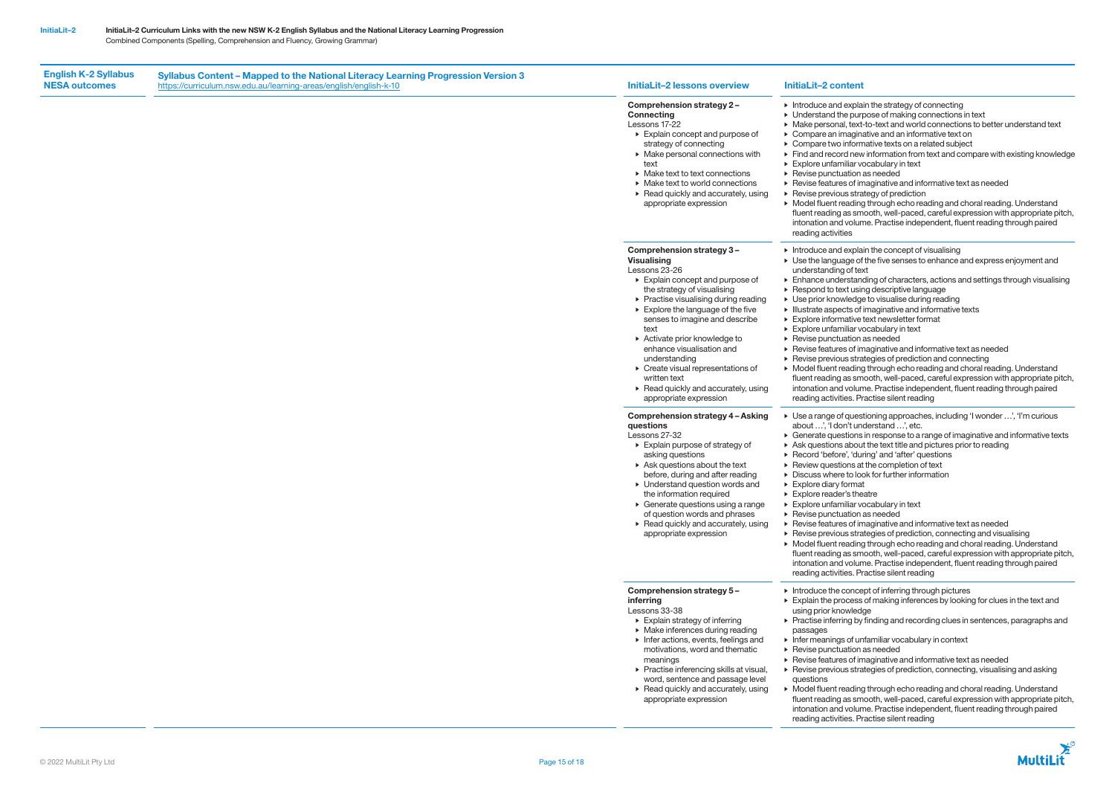English K-2 Syllabus NESA outcomes

# Comprehension strategy 2 –

## Connecting Lessons 17-22

- Explain concept and purpose of
- strategy of connecting • Make personal connections with
- text
- Make text to text connections
- Make text to world connections
- Read quickly and accurately, using appropriate expression

# Comprehension strategy 3 – Visualising

# Lessons 23-26

- Explain concept and purpose of the strategy of visualising
- Practise visualising during reading
- Explore the language of the five senses to imagine and describe text
- Activate prior knowledge to enhance visualisation and understanding
- Create visual representations of written text
- Read quickly and accurately, using appropriate expression
- Introduce and explain the strategy of connecting
- Understand the purpose of making connections in text
- Make personal, text-to-text and world connections to better understand text
- Compare an imaginative and an informative text on
- Compare two informative texts on a related subject
- Find and record new information from text and compare with existing knowledge • Explore unfamiliar vocabulary in text
- Revise punctuation as needed
- Revise features of imaginative and informative text as needed
- Revise previous strategy of prediction
- Model fluent reading through echo reading and choral reading. Understand
- fluent reading as smooth, well-paced, careful expression with appropriate pitch, intonation and volume. Practise independent, fluent reading through paired reading activities
- $\blacktriangleright$  Introduce and explain the concept of visualising
- Use the language of the five senses to enhance and express enjoyment and understanding of text
- Enhance understanding of characters, actions and settings through visualising • Respond to text using descriptive language
- Use prior knowledge to visualise during reading
- Illustrate aspects of imaginative and informative texts
- Explore informative text newsletter format
- Explore unfamiliar vocabulary in text
- Revise punctuation as needed
- Revise features of imaginative and informative text as needed
- Revise previous strategies of prediction and connecting
- Model fluent reading through echo reading and choral reading. Understand fluent reading as smooth, well-paced, careful expression with appropriate pitch, intonation and volume. Practise independent, fluent reading through paired
- reading activities. Practise silent reading
- Use a range of questioning approaches, including 'I wonder …', 'I'm curious about …', 'I don't understand …', etc.
- Generate questions in response to a range of imaginative and informative texts • Ask questions about the text title and pictures prior to reading
- Record 'before', 'during' and 'after' questions
- Review questions at the completion of text
- Discuss where to look for further information
- Explore diary format
- Explore reader's theatre
- Explore unfamiliar vocabulary in text
- Revise punctuation as needed
- Revise features of imaginative and informative text as needed
- Revise previous strategies of prediction, connecting and visualising
- Model fluent reading through echo reading and choral reading. Understand fluent reading as smooth, well-paced, careful expression with appropriate pitch, intonation and volume. Practise independent, fluent reading through paired reading activities. Practise silent reading
- Introduce the concept of inferring through pictures
- Explain the process of making inferences by looking for clues in the text and using prior knowledge
- Practise inferring by finding and recording clues in sentences, paragraphs and
- Infer meanings of unfamiliar vocabulary in context
- Revise punctuation as needed
- Revise features of imaginative and informative text as needed
- Revise previous strategies of prediction, connecting, visualising and asking

## Comprehension strategy 4 – Asking questions

- Lessons 27-32 • Explain purpose of strategy of
	- asking questions
- Ask questions about the text
- before, during and after reading
- Understand question words and the information required
- Generate questions using a range
- of question words and phrases  $\blacktriangleright$  Read quickly and accurately, using
- appropriate expression

# Comprehension strategy 5 – inferring

Lessons 33-38

- Explain strategy of inferring
- Make inferences during reading
- Infer actions, events, feelings and motivations, word and thematic meanings
- Practise inferencing skills at visual, word, sentence and passage level
- Read quickly and accurately, using appropriate expression
- questions

passages

• Model fluent reading through echo reading and choral reading. Understand fluent reading as smooth, well-paced, careful expression with appropriate pitch, intonation and volume. Practise independent, fluent reading through paired reading activities. Practise silent reading

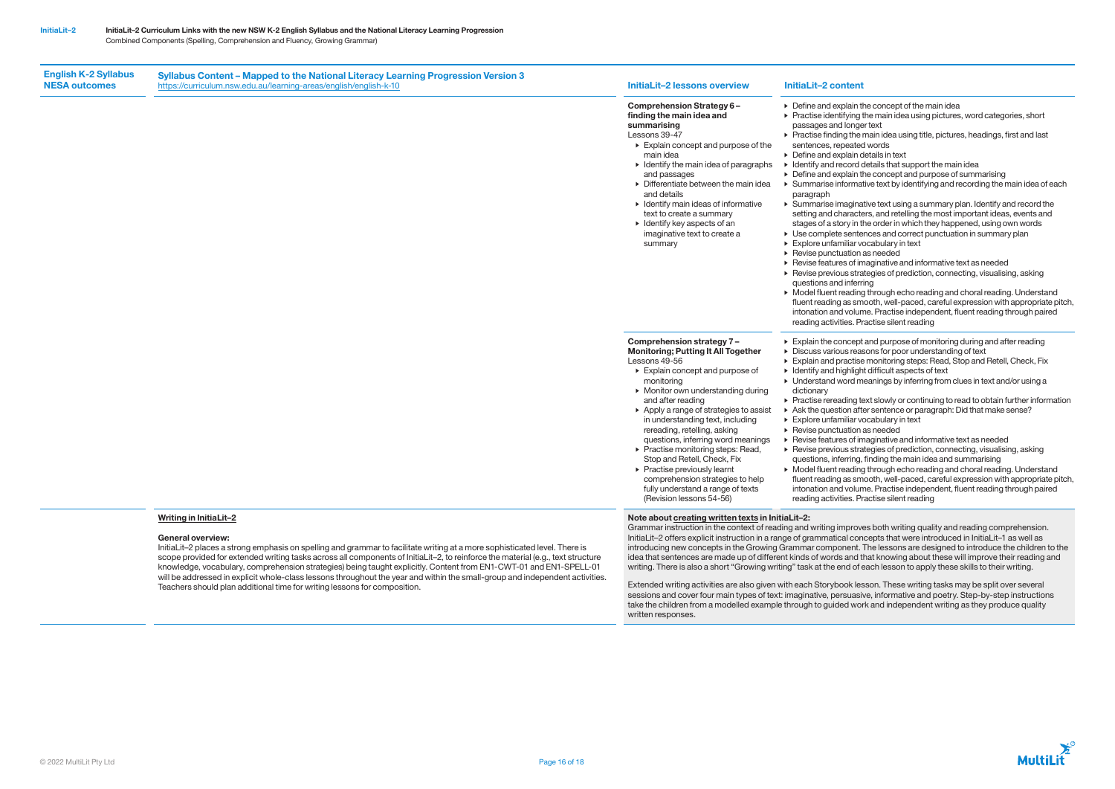English K-2 Syllabus NESA outcomes

## Comprehension Strategy 6 – finding the main idea and summarising Lessons 39-47

- Explain concept and purpose of the main idea
- Identify the main idea of paragraphs and passages
- Differentiate between the main idea and details
- Identify main ideas of informative text to create a summary
- Identify key aspects of an imaginative text to create a summary

• Apply a range of strategies to assist in understanding text, including rereading, retelling, asking

- Define and explain the concept of the main idea
- Practise identifying the main idea using pictures, word categories, short passages and longer text
- Practise finding the main idea using title, pictures, headings, first and last sentences, repeated words
- Define and explain details in text
- Identify and record details that support the main idea
- Define and explain the concept and purpose of summarising
- Summarise informative text by identifying and recording the main idea of each
- Summarise imaginative text using a summary plan. Identify and record the setting and characters, and retelling the most important ideas, events and stages of a story in the order in which they happened, using own words • Use complete sentences and correct punctuation in summary plan
- Explore unfamiliar vocabulary in text
- Revise punctuation as needed
- Revise features of imaginative and informative text as needed

paragraph

- Revise previous strategies of prediction, connecting, visualising, asking questions and inferring
- Model fluent reading through echo reading and choral reading. Understand fluent reading as smooth, well-paced, careful expression with appropriate pitch, intonation and volume. Practise independent, fluent reading through paired reading activities. Practise silent reading

Comprehension strategy 7 – Monitoring; Putting It All Together

Lessons 49-56

• Explain concept and purpose of

monitoring

• Monitor own understanding during

and after reading

questions, inferring word meanings • Practise monitoring steps: Read, Stop and Retell, Check, Fix • Practise previously learnt

comprehension strategies to help fully understand a range of texts (Revision lessons 54-56)

- Practise rereading text slowly or continuing to read to obtain further information • Ask the question after sentence or paragraph: Did that make sense?
- Revise features of imaginative and informative text as needed
	-



- Explain the concept and purpose of monitoring during and after reading • Discuss various reasons for poor understanding of text
- Explain and practise monitoring steps: Read, Stop and Retell, Check, Fix • Identify and highlight difficult aspects of text
- Understand word meanings by inferring from clues in text and/or using a
- dictionary
- 
- 
- Explore unfamiliar vocabulary in text • Revise punctuation as needed
- 
- 
- Revise previous strategies of prediction, connecting, visualising, asking
- questions, inferring, finding the main idea and summarising • Model fluent reading through echo reading and choral reading. Understand fluent reading as smooth, well-paced, careful expression with appropriate pitch, intonation and volume. Practise independent, fluent reading through paired reading activities. Practise silent reading

# Writing in InitiaLit–2

## General overview:

InitiaLit–2 places a strong emphasis on spelling and grammar to facilitate writing at a more sophisticated level. There is scope provided for extended writing tasks across all components of InitiaLit–2, to reinforce the material (e.g., text structure knowledge, vocabulary, comprehension strategies) being taught explicitly. Content from EN1-CWT-01 and EN1-SPELL-01 will be addressed in explicit whole-class lessons throughout the year and within the small-group and independent activities. Teachers should plan additional time for writing lessons for composition.

# Note about creating written texts in InitiaLit–2:

Grammar instruction in the context of reading and writing improves both writing quality and reading comprehension. InitiaLit–2 offers explicit instruction in a range of grammatical concepts that were introduced in InitiaLit–1 as well as introducing new concepts in the Growing Grammar component. The lessons are designed to introduce the children to the idea that sentences are made up of different kinds of words and that knowing about these will improve their reading and writing. There is also a short "Growing writing" task at the end of each lesson to apply these skills to their writing.

Extended writing activities are also given with each Storybook lesson. These writing tasks may be split over several sessions and cover four main types of text: imaginative, persuasive, informative and poetry. Step-by-step instructions take the children from a modelled example through to guided work and independent writing as they produce quality written responses.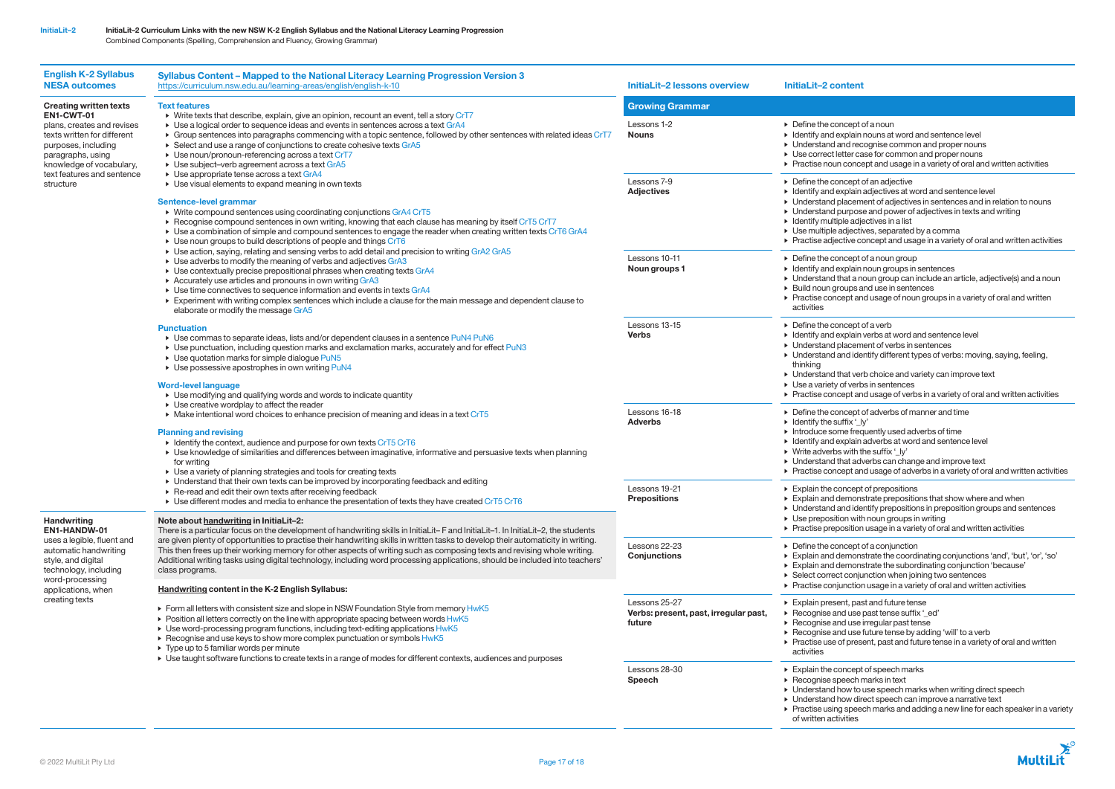| <b>English K-2 Syllabus</b><br><b>NESA outcomes</b>                                                                                                                                                                                                                                                                                                                                                                         | Syllabus Content - Mapped to the National Literacy Learning Progression Version 3<br>https://curriculum.nsw.edu.au/learning-areas/english/english-k-10                                                                                                                                                                                                                                                                                                                                                                                                                                                                                                                                                                                                                                                                                                                                                                                                                                                                                                                                                                                                                                                                                                                                                                                                                                                                                                                                                                                                                                                                                                                                                                                                                                                                                                                                                                                                                                                                                                                                                                                                                                                                                                                                                                                                                                                                                                                                                                                                                                                                                                                                                                                                                                                                                                                                                                                                                            | <b>InitiaLit-2 lessons overview</b>                              | InitiaLit-2 content                                                                                                                                                                                                                                                                                                                                                                                                                                                                           |  |
|-----------------------------------------------------------------------------------------------------------------------------------------------------------------------------------------------------------------------------------------------------------------------------------------------------------------------------------------------------------------------------------------------------------------------------|-----------------------------------------------------------------------------------------------------------------------------------------------------------------------------------------------------------------------------------------------------------------------------------------------------------------------------------------------------------------------------------------------------------------------------------------------------------------------------------------------------------------------------------------------------------------------------------------------------------------------------------------------------------------------------------------------------------------------------------------------------------------------------------------------------------------------------------------------------------------------------------------------------------------------------------------------------------------------------------------------------------------------------------------------------------------------------------------------------------------------------------------------------------------------------------------------------------------------------------------------------------------------------------------------------------------------------------------------------------------------------------------------------------------------------------------------------------------------------------------------------------------------------------------------------------------------------------------------------------------------------------------------------------------------------------------------------------------------------------------------------------------------------------------------------------------------------------------------------------------------------------------------------------------------------------------------------------------------------------------------------------------------------------------------------------------------------------------------------------------------------------------------------------------------------------------------------------------------------------------------------------------------------------------------------------------------------------------------------------------------------------------------------------------------------------------------------------------------------------------------------------------------------------------------------------------------------------------------------------------------------------------------------------------------------------------------------------------------------------------------------------------------------------------------------------------------------------------------------------------------------------------------------------------------------------------------------------------------------------|------------------------------------------------------------------|-----------------------------------------------------------------------------------------------------------------------------------------------------------------------------------------------------------------------------------------------------------------------------------------------------------------------------------------------------------------------------------------------------------------------------------------------------------------------------------------------|--|
| <b>Creating written texts</b><br>EN1-CWT-01<br>plans, creates and revises<br>texts written for different<br>purposes, including<br>paragraphs, using<br>knowledge of vocabulary,<br>text features and sentence<br>structure<br>Handwriting<br>EN1-HANDW-01<br>uses a legible, fluent and<br>automatic handwriting<br>style, and digital<br>technology, including<br>word-processing<br>applications, when<br>creating texts | <b>Text features</b><br>> Write texts that describe, explain, give an opinion, recount an event, tell a story CrT7<br>► Use a logical order to sequence ideas and events in sentences across a text GrA4<br>► Group sentences into paragraphs commencing with a topic sentence, followed by other sentences with related ideas CrT7<br>▶ Select and use a range of conjunctions to create cohesive texts GrA5<br>▶ Use noun/pronoun-referencing across a text CrT7<br>▶ Use subject-verb agreement across a text GrA5<br>• Use appropriate tense across a text GrA4<br>▶ Use visual elements to expand meaning in own texts<br>Sentence-level grammar<br>▶ Write compound sentences using coordinating conjunctions GrA4 CrT5<br>▶ Recognise compound sentences in own writing, knowing that each clause has meaning by itself CrT5 CrT7<br>> Use a combination of simple and compound sentences to engage the reader when creating written texts CrT6 GrA4<br>$\triangleright$ Use noun groups to build descriptions of people and things CrT6<br>► Use action, saying, relating and sensing verbs to add detail and precision to writing GrA2 GrA5<br>► Use adverbs to modify the meaning of verbs and adjectives GrA3<br>▶ Use contextually precise prepositional phrases when creating texts GrA4<br>▶ Accurately use articles and pronouns in own writing GrA3<br>▶ Use time connectives to sequence information and events in texts GrA4<br>Experiment with writing complex sentences which include a clause for the main message and dependent clause to<br>elaborate or modify the message GrA5<br><b>Punctuation</b><br>• Use commas to separate ideas, lists and/or dependent clauses in a sentence PuN4 PuN6<br>► Use punctuation, including question marks and exclamation marks, accurately and for effect PuN3<br>• Use quotation marks for simple dialogue PuN5<br>▶ Use possessive apostrophes in own writing PuN4<br><b>Word-level language</b><br>▶ Use modifying and qualifying words and words to indicate quantity<br>$\triangleright$ Use creative wordplay to affect the reader<br>Make intentional word choices to enhance precision of meaning and ideas in a text CrT5<br><b>Planning and revising</b><br>• Identify the context, audience and purpose for own texts CrT5 CrT6<br>• Use knowledge of similarities and differences between imaginative, informative and persuasive texts when planning<br>for writing<br>▶ Use a variety of planning strategies and tools for creating texts<br>► Understand that their own texts can be improved by incorporating feedback and editing<br>▶ Re-read and edit their own texts after receiving feedback<br>$\triangleright$ Use different modes and media to enhance the presentation of texts they have created CrT5 CrT6<br>Note about handwriting in InitiaLit-2:<br>There is a particular focus on the development of handwriting skills in InitiaLit-F and InitiaLit-1. In InitiaLit-2, the students | <b>Growing Grammar</b>                                           |                                                                                                                                                                                                                                                                                                                                                                                                                                                                                               |  |
|                                                                                                                                                                                                                                                                                                                                                                                                                             |                                                                                                                                                                                                                                                                                                                                                                                                                                                                                                                                                                                                                                                                                                                                                                                                                                                                                                                                                                                                                                                                                                                                                                                                                                                                                                                                                                                                                                                                                                                                                                                                                                                                                                                                                                                                                                                                                                                                                                                                                                                                                                                                                                                                                                                                                                                                                                                                                                                                                                                                                                                                                                                                                                                                                                                                                                                                                                                                                                                   | Lessons 1-2<br><b>Nouns</b>                                      | $\triangleright$ Define the concept of a noun<br>• Identify and explain nouns at word and sentence level<br>• Understand and recognise common and proper nouns<br>▶ Use correct letter case for common and proper nouns<br>▶ Practise noun concept and usage in a variety of oral and written activities                                                                                                                                                                                      |  |
|                                                                                                                                                                                                                                                                                                                                                                                                                             |                                                                                                                                                                                                                                                                                                                                                                                                                                                                                                                                                                                                                                                                                                                                                                                                                                                                                                                                                                                                                                                                                                                                                                                                                                                                                                                                                                                                                                                                                                                                                                                                                                                                                                                                                                                                                                                                                                                                                                                                                                                                                                                                                                                                                                                                                                                                                                                                                                                                                                                                                                                                                                                                                                                                                                                                                                                                                                                                                                                   | Lessons 7-9<br><b>Adjectives</b>                                 | $\triangleright$ Define the concept of an adjective<br>• Identify and explain adjectives at word and sentence level<br>• Understand placement of adjectives in sentences and in relation to nouns<br>• Understand purpose and power of adjectives in texts and writing<br>$\triangleright$ Identify multiple adjectives in a list<br>▶ Use multiple adjectives, separated by a comma<br>▶ Practise adjective concept and usage in a variety of oral and written activities                    |  |
|                                                                                                                                                                                                                                                                                                                                                                                                                             |                                                                                                                                                                                                                                                                                                                                                                                                                                                                                                                                                                                                                                                                                                                                                                                                                                                                                                                                                                                                                                                                                                                                                                                                                                                                                                                                                                                                                                                                                                                                                                                                                                                                                                                                                                                                                                                                                                                                                                                                                                                                                                                                                                                                                                                                                                                                                                                                                                                                                                                                                                                                                                                                                                                                                                                                                                                                                                                                                                                   | Lessons 10-11<br>Noun groups 1                                   | $\triangleright$ Define the concept of a noun group<br>$\triangleright$ Identify and explain noun groups in sentences<br>• Understand that a noun group can include an article, adjective(s) and a noun<br>▶ Build noun groups and use in sentences<br>$\triangleright$ Practise concept and usage of noun groups in a variety of oral and written<br>activities                                                                                                                              |  |
|                                                                                                                                                                                                                                                                                                                                                                                                                             |                                                                                                                                                                                                                                                                                                                                                                                                                                                                                                                                                                                                                                                                                                                                                                                                                                                                                                                                                                                                                                                                                                                                                                                                                                                                                                                                                                                                                                                                                                                                                                                                                                                                                                                                                                                                                                                                                                                                                                                                                                                                                                                                                                                                                                                                                                                                                                                                                                                                                                                                                                                                                                                                                                                                                                                                                                                                                                                                                                                   | Lessons 13-15<br><b>Verbs</b>                                    | $\triangleright$ Define the concept of a verb<br>• Identify and explain verbs at word and sentence level<br>$\triangleright$ Understand placement of verbs in sentences<br>> Understand and identify different types of verbs: moving, saying, feeling,<br>thinking<br>• Understand that verb choice and variety can improve text<br>$\triangleright$ Use a variety of verbs in sentences<br>$\triangleright$ Practise concept and usage of verbs in a variety of oral and written activities |  |
|                                                                                                                                                                                                                                                                                                                                                                                                                             |                                                                                                                                                                                                                                                                                                                                                                                                                                                                                                                                                                                                                                                                                                                                                                                                                                                                                                                                                                                                                                                                                                                                                                                                                                                                                                                                                                                                                                                                                                                                                                                                                                                                                                                                                                                                                                                                                                                                                                                                                                                                                                                                                                                                                                                                                                                                                                                                                                                                                                                                                                                                                                                                                                                                                                                                                                                                                                                                                                                   | Lessons 16-18<br><b>Adverbs</b>                                  | $\triangleright$ Define the concept of adverbs of manner and time<br>$\triangleright$ Identify the suffix '_ly'<br>$\triangleright$ Introduce some frequently used adverbs of time<br>• Identify and explain adverbs at word and sentence level<br>$\triangleright$ Write adverbs with the suffix '_ly'<br>• Understand that adverbs can change and improve text<br>▶ Practise concept and usage of adverbs in a variety of oral and written activities                                       |  |
|                                                                                                                                                                                                                                                                                                                                                                                                                             |                                                                                                                                                                                                                                                                                                                                                                                                                                                                                                                                                                                                                                                                                                                                                                                                                                                                                                                                                                                                                                                                                                                                                                                                                                                                                                                                                                                                                                                                                                                                                                                                                                                                                                                                                                                                                                                                                                                                                                                                                                                                                                                                                                                                                                                                                                                                                                                                                                                                                                                                                                                                                                                                                                                                                                                                                                                                                                                                                                                   | Lessons 19-21<br><b>Prepositions</b>                             | $\triangleright$ Explain the concept of prepositions<br>$\triangleright$ Explain and demonstrate prepositions that show where and when<br>• Understand and identify prepositions in preposition groups and sentences<br>$\triangleright$ Use preposition with noun groups in writing<br>$\triangleright$ Practise preposition usage in a variety of oral and written activities                                                                                                               |  |
|                                                                                                                                                                                                                                                                                                                                                                                                                             | are given plenty of opportunities to practise their handwriting skills in written tasks to develop their automaticity in writing.<br>This then frees up their working memory for other aspects of writing such as composing texts and revising whole writing.<br>Additional writing tasks using digital technology, including word processing applications, should be included into teachers'<br>class programs.                                                                                                                                                                                                                                                                                                                                                                                                                                                                                                                                                                                                                                                                                                                                                                                                                                                                                                                                                                                                                                                                                                                                                                                                                                                                                                                                                                                                                                                                                                                                                                                                                                                                                                                                                                                                                                                                                                                                                                                                                                                                                                                                                                                                                                                                                                                                                                                                                                                                                                                                                                  | Lessons 22-23<br><b>Conjunctions</b>                             | $\triangleright$ Define the concept of a conjunction<br>Explain and demonstrate the coordinating conjunctions 'and', 'but', 'or', 'so'<br>Explain and demonstrate the subordinating conjunction 'because'<br>▶ Select correct conjunction when joining two sentences                                                                                                                                                                                                                          |  |
|                                                                                                                                                                                                                                                                                                                                                                                                                             | <b>Handwriting content in the K-2 English Syllabus:</b><br>Form all letters with consistent size and slope in NSW Foundation Style from memory HwK5<br>$\triangleright$ Position all letters correctly on the line with appropriate spacing between words HwK5<br>> Use word-processing program functions, including text-editing applications HwK5<br>$\triangleright$ Recognise and use keys to show more complex punctuation or symbols $HwK5$<br>$\triangleright$ Type up to 5 familiar words per minute<br>► Use taught software functions to create texts in a range of modes for different contexts, audiences and purposes                                                                                                                                                                                                                                                                                                                                                                                                                                                                                                                                                                                                                                                                                                                                                                                                                                                                                                                                                                                                                                                                                                                                                                                                                                                                                                                                                                                                                                                                                                                                                                                                                                                                                                                                                                                                                                                                                                                                                                                                                                                                                                                                                                                                                                                                                                                                                | Lessons 25-27<br>Verbs: present, past, irregular past,<br>future | $\triangleright$ Practise conjunction usage in a variety of oral and written activities<br>$\triangleright$ Explain present, past and future tense<br>▶ Recognise and use past tense suffix '_ed'<br>▶ Recognise and use irregular past tense<br>▶ Recognise and use future tense by adding 'will' to a verb<br>$\triangleright$ Practise use of present, past and future tense in a variety of oral and written<br>activities                                                                |  |
|                                                                                                                                                                                                                                                                                                                                                                                                                             |                                                                                                                                                                                                                                                                                                                                                                                                                                                                                                                                                                                                                                                                                                                                                                                                                                                                                                                                                                                                                                                                                                                                                                                                                                                                                                                                                                                                                                                                                                                                                                                                                                                                                                                                                                                                                                                                                                                                                                                                                                                                                                                                                                                                                                                                                                                                                                                                                                                                                                                                                                                                                                                                                                                                                                                                                                                                                                                                                                                   | Lessons 28-30<br>Speech                                          | $\triangleright$ Explain the concept of speech marks<br>$\triangleright$ Recognise speech marks in text<br>• Understand how to use speech marks when writing direct speech<br>• Understand how direct speech can improve a narrative text<br>Practise using speech marks and adding a new line for each speaker in a variety<br>of written activities                                                                                                                                         |  |